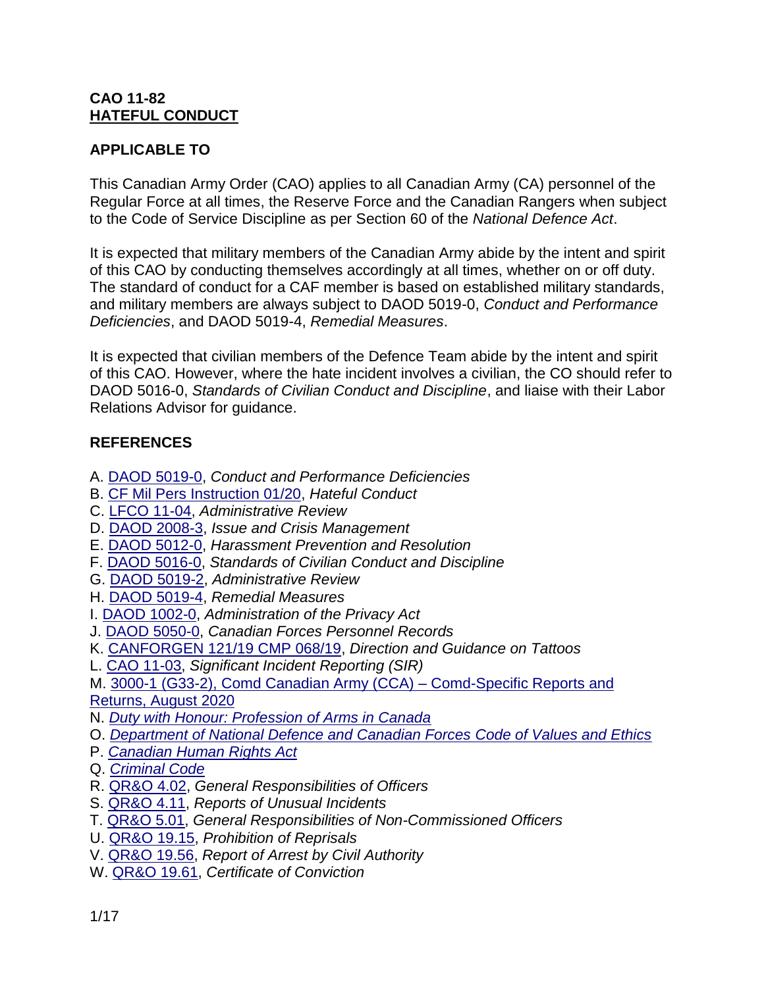#### **CAO 11-82 HATEFUL CONDUCT**

#### **APPLICABLE TO**

This Canadian Army Order (CAO) applies to all Canadian Army (CA) personnel of the Regular Force at all times, the Reserve Force and the Canadian Rangers when subject to the Code of Service Discipline as per Section 60 of the *National Defence Act*.

It is expected that military members of the Canadian Army abide by the intent and spirit of this CAO by conducting themselves accordingly at all times, whether on or off duty. The standard of conduct for a CAF member is based on established military standards, and military members are always subject to DAOD 5019-0, *Conduct and Performance Deficiencies*, and DAOD 5019-4, *Remedial Measures*.

It is expected that civilian members of the Defence Team abide by the intent and spirit of this CAO. However, where the hate incident involves a civilian, the CO should refer to DAOD 5016-0, *Standards of Civilian Conduct and Discipline*, and liaise with their Labor Relations Advisor for guidance.

#### **REFERENCES**

- A. [DAOD 5019-0,](https://www.canada.ca/en/department-national-defence/corporate/policies-standards/defence-administrative-orders-directives/5000-series/5019/5019-0-conduct-and-performance-deficiencies.html) *Conduct and Performance Deficiencies*
- B. [CF Mil Pers Instruction 01/20,](http://cmp-cpm.mil.ca/assets/CMP_Intranet/docs/en/policies/cfmilpersinstr/mil-pers-instruction-01-20-hc-w-crest-final.pdf) *Hateful Conduct*
- C. [LFCO 11-04,](https://acims.mil.ca/org/3372/CAO/11-04%20%20Administrative%20Review.DOC) *Administrative Review*
- D. [DAOD 2008-3,](https://www.canada.ca/en/department-national-defence/corporate/policies-standards/defence-administrative-orders-directives/2000-series/2008/2008-3-issue-crisis-management.html) *Issue and Crisis Management*
- E. [DAOD 5012-0,](https://www.canada.ca/en/department-national-defence/corporate/policies-standards/defence-administrative-orders-directives/5000-series/5012/5012-0-harassment-prevention-and-resolution.html) *Harassment Prevention and Resolution*
- F. [DAOD 5016-0,](https://www.canada.ca/en/department-national-defence/corporate/policies-standards/defence-administrative-orders-directives/5000-series/5016/5016-0-standards-of-civilian-conduct-and-discipline.html) *Standards of Civilian Conduct and Discipline*
- G. [DAOD 5019-2,](https://www.canada.ca/en/department-national-defence/corporate/policies-standards/defence-administrative-orders-directives/5000-series/5019/5019-2-administrative-review.html) *Administrative Review*
- H. [DAOD 5019-4,](https://www.canada.ca/en/department-national-defence/corporate/policies-standards/defence-administrative-orders-directives/5000-series/5019/5019-4-remedial-measures.html) *Remedial Measures*
- I. [DAOD 1002-0,](https://www.canada.ca/en/department-national-defence/corporate/policies-standards/defence-administrative-orders-directives/1000-series/1002/1002-0-administration-privacy-act.html) *Administration of the Privacy Act*
- J. [DAOD 5050-0,](https://www.canada.ca/en/department-national-defence/corporate/policies-standards/defence-administrative-orders-directives/5000-series/5050/5050-0-canadian-forces-personnel-records.html) *Canadian Forces Personnel Records*
- K. [CANFORGEN 121/19 CMP 068/19,](http://vcds.mil.ca/apps/canforgens/default-eng.asp?id=121-19&type=canforgen) *Direction and Guidance on Tattoos*
- L. [CAO 11-03,](https://acims.mil.ca/org/3372/CAO/CAO_11_03_SIR_E.pdf) *Significant Incident Reporting (SIR)*

M. [3000-1 \(G33-2\), Comd Canadian Army \(CCA\) –](https://acims.mil.ca/sp/CAHQCR/Document%20Central%20Registry/Comd%20CA_CCIR_Rpt_Rtn_SOP_Bil_Signed.pdf) Comd-Specific Reports and [Returns, August 2020](https://acims.mil.ca/sp/CAHQCR/Document%20Central%20Registry/Comd%20CA_CCIR_Rpt_Rtn_SOP_Bil_Signed.pdf)

- N. *[Duty with Honour: Profession of Arms in Canada](https://www.canada.ca/en/department-national-defence/corporate/reports-publications/duty-with-honour-2009.html)*
- O. *[Department of National Defence and Canadian Forces](https://www.canada.ca/en/department-national-defence/services/benefits-military/defence-ethics/policies-publications/code-value-ethics.html) Code of Values and Ethics*
- P. *[Canadian Human Rights Act](https://laws-lois.justice.gc.ca/eng/acts/h-6/)*
- Q. *[Criminal Code](https://laws-lois.justice.gc.ca/eng/acts/c-46/)*
- R. [QR&O 4.02,](https://www.canada.ca/en/department-national-defence/corporate/policies-standards/queens-regulations-orders/vol-1-administration/ch-4-duties-responsibilities-officers.html#cha-004-02) *General Responsibilities of Officers*
- S. [QR&O 4.11,](https://www.canada.ca/en/department-national-defence/corporate/policies-standards/queens-regulations-orders/vol-1-administration/ch-4-duties-responsibilities-officers.html#cha-004-11) *Reports of Unusual Incidents*
- T. [QR&O 5.01,](https://www.canada.ca/en/department-national-defence/corporate/policies-standards/queens-regulations-orders/vol-1-administration/ch-5-duties-responsibilities-non-commissioned-members.html) *General Responsibilities of Non-Commissioned Officers*
- U. [QR&O 19.15,](https://www.canada.ca/en/department-national-defence/corporate/policies-standards/queens-regulations-orders/vol-1-administration/ch-19-conduct-discipline.html#cha-019-15) *Prohibition of Reprisals*
- V. [QR&O 19.56,](https://www.canada.ca/en/department-national-defence/corporate/policies-standards/queens-regulations-orders/vol-1-administration/ch-19-conduct-discipline.html#cha-019-56) *Report of Arrest by Civil Authority*
- W. [QR&O 19.61,](https://www.canada.ca/en/department-national-defence/corporate/policies-standards/queens-regulations-orders/vol-1-administration/ch-19-conduct-discipline.html#cha-019-61) *Certificate of Conviction*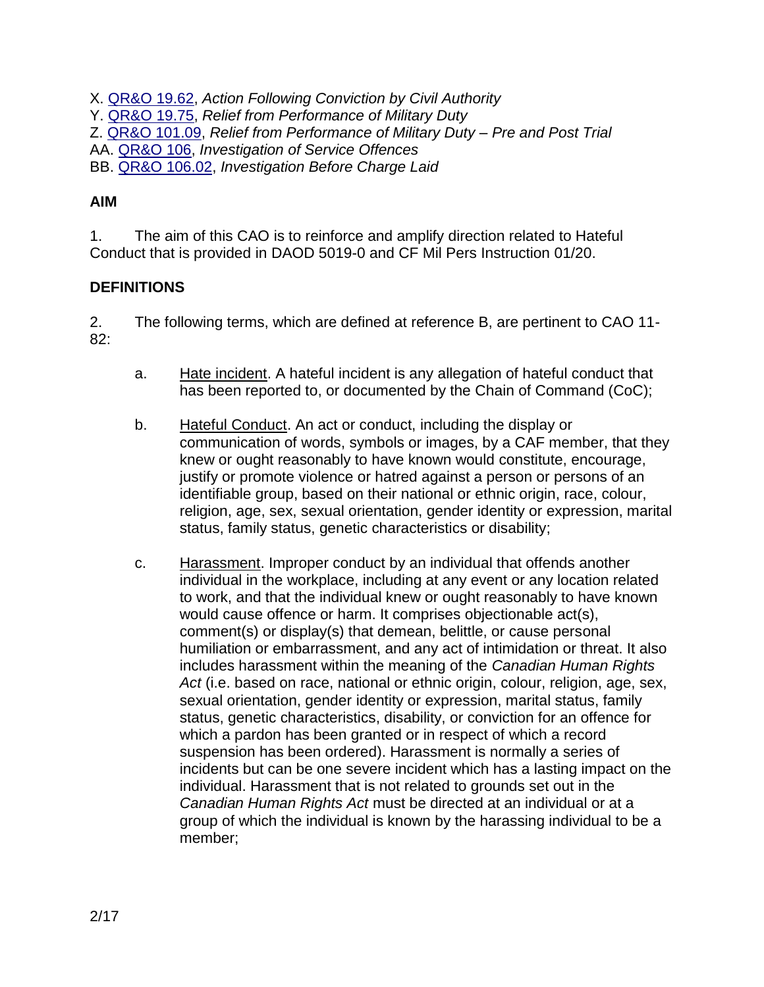X. [QR&O 19.62,](https://www.canada.ca/en/department-national-defence/corporate/policies-standards/queens-regulations-orders/vol-1-administration/ch-19-conduct-discipline.html#cha-019-62) *Action Following Conviction by Civil Authority* Y. [QR&O 19.75,](https://www.canada.ca/en/department-national-defence/corporate/policies-standards/queens-regulations-orders/vol-1-administration/ch-19-conduct-discipline.html#cha-019-75) *Relief from Performance of Military Duty* Z. [QR&O 101.09,](https://www.canada.ca/en/department-national-defence/corporate/policies-standards/queens-regulations-orders/vol-2-disciplinary/ch-101-general-provisions-respecting-code-service-discipline.html#cha-101-09) *Relief from Performance of Military Duty – Pre and Post Trial* AA. [QR&O 106,](https://www.canada.ca/en/department-national-defence/corporate/policies-standards/queens-regulations-orders/vol-2-disciplinary/ch-106-investigation-service-offences/table-contents.html) *Investigation of Service Offences* BB. [QR&O 106.02,](https://www.canada.ca/en/department-national-defence/corporate/policies-standards/queens-regulations-orders/vol-2-disciplinary/ch-106-investigation-service-offences.html#cha-106-02) *Investigation Before Charge Laid*

## **AIM**

1. The aim of this CAO is to reinforce and amplify direction related to Hateful Conduct that is provided in DAOD 5019-0 and CF Mil Pers Instruction 01/20.

## **DEFINITIONS**

2. The following terms, which are defined at reference B, are pertinent to CAO 11- 82:

- a. Hate incident. A hateful incident is any allegation of hateful conduct that has been reported to, or documented by the Chain of Command (CoC);
- b. Hateful Conduct. An act or conduct, including the display or communication of words, symbols or images, by a CAF member, that they knew or ought reasonably to have known would constitute, encourage, justify or promote violence or hatred against a person or persons of an identifiable group, based on their national or ethnic origin, race, colour, religion, age, sex, sexual orientation, gender identity or expression, marital status, family status, genetic characteristics or disability;
- c. Harassment. Improper conduct by an individual that offends another individual in the workplace, including at any event or any location related to work, and that the individual knew or ought reasonably to have known would cause offence or harm. It comprises objectionable act(s), comment(s) or display(s) that demean, belittle, or cause personal humiliation or embarrassment, and any act of intimidation or threat. It also includes harassment within the meaning of the *Canadian Human Rights Act* (i.e. based on race, national or ethnic origin, colour, religion, age, sex, sexual orientation, gender identity or expression, marital status, family status, genetic characteristics, disability, or conviction for an offence for which a pardon has been granted or in respect of which a record suspension has been ordered). Harassment is normally a series of incidents but can be one severe incident which has a lasting impact on the individual. Harassment that is not related to grounds set out in the *Canadian Human Rights Act* must be directed at an individual or at a group of which the individual is known by the harassing individual to be a member;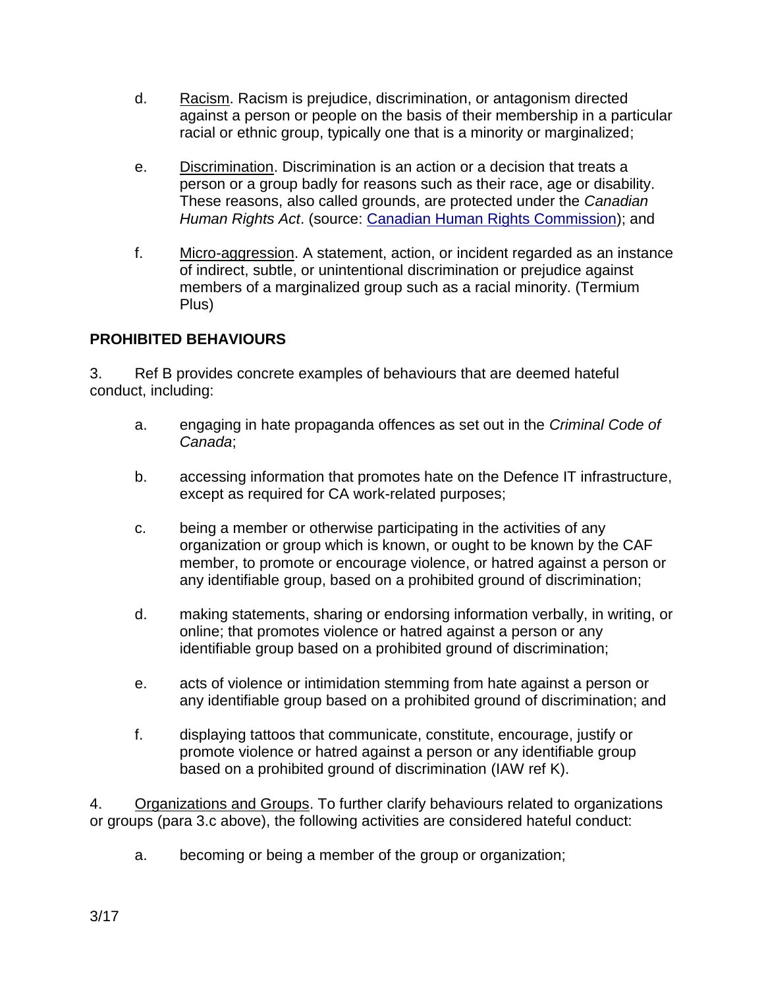- d. Racism. Racism is prejudice, discrimination, or antagonism directed against a person or people on the basis of their membership in a particular racial or ethnic group, typically one that is a minority or marginalized;
- e. Discrimination. Discrimination is an action or a decision that treats a person or a group badly for reasons such as their race, age or disability. These reasons, also called grounds, are protected under the *Canadian Human Rights Act*. (source: [Canadian Human Rights Commission\)](https://www.chrc-ccdp.gc.ca/eng/content/what-discrimination); and
- f. Micro-aggression. A statement, action, or incident regarded as an instance of indirect, subtle, or unintentional discrimination or prejudice against members of a marginalized group such as a racial minority. (Termium Plus)

## **PROHIBITED BEHAVIOURS**

3. Ref B provides concrete examples of behaviours that are deemed hateful conduct, including:

- a. engaging in hate propaganda offences as set out in the *Criminal Code of Canada*;
- b. accessing information that promotes hate on the Defence IT infrastructure, except as required for CA work-related purposes;
- c. being a member or otherwise participating in the activities of any organization or group which is known, or ought to be known by the CAF member, to promote or encourage violence, or hatred against a person or any identifiable group, based on a prohibited ground of discrimination;
- d. making statements, sharing or endorsing information verbally, in writing, or online; that promotes violence or hatred against a person or any identifiable group based on a prohibited ground of discrimination;
- e. acts of violence or intimidation stemming from hate against a person or any identifiable group based on a prohibited ground of discrimination; and
- f. displaying tattoos that communicate, constitute, encourage, justify or promote violence or hatred against a person or any identifiable group based on a prohibited ground of discrimination (IAW ref K).

4. Organizations and Groups. To further clarify behaviours related to organizations or groups (para 3.c above), the following activities are considered hateful conduct:

a. becoming or being a member of the group or organization;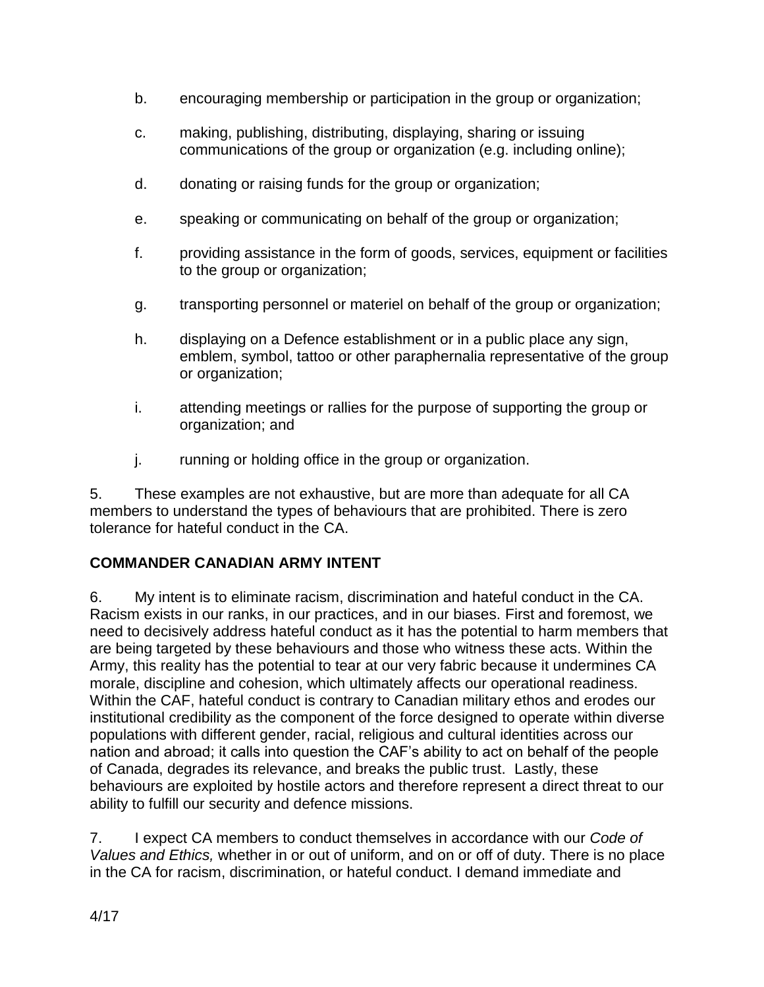- b. encouraging membership or participation in the group or organization;
- c. making, publishing, distributing, displaying, sharing or issuing communications of the group or organization (e.g. including online);
- d. donating or raising funds for the group or organization;
- e. speaking or communicating on behalf of the group or organization;
- f. providing assistance in the form of goods, services, equipment or facilities to the group or organization;
- g. transporting personnel or materiel on behalf of the group or organization;
- h. displaying on a Defence establishment or in a public place any sign, emblem, symbol, tattoo or other paraphernalia representative of the group or organization;
- i. attending meetings or rallies for the purpose of supporting the group or organization; and
- j. running or holding office in the group or organization.

5. These examples are not exhaustive, but are more than adequate for all CA members to understand the types of behaviours that are prohibited. There is zero tolerance for hateful conduct in the CA.

# **COMMANDER CANADIAN ARMY INTENT**

6. My intent is to eliminate racism, discrimination and hateful conduct in the CA. Racism exists in our ranks, in our practices, and in our biases. First and foremost, we need to decisively address hateful conduct as it has the potential to harm members that are being targeted by these behaviours and those who witness these acts. Within the Army, this reality has the potential to tear at our very fabric because it undermines CA morale, discipline and cohesion, which ultimately affects our operational readiness. Within the CAF, hateful conduct is contrary to Canadian military ethos and erodes our institutional credibility as the component of the force designed to operate within diverse populations with different gender, racial, religious and cultural identities across our nation and abroad; it calls into question the CAF's ability to act on behalf of the people of Canada, degrades its relevance, and breaks the public trust. Lastly, these behaviours are exploited by hostile actors and therefore represent a direct threat to our ability to fulfill our security and defence missions.

7. I expect CA members to conduct themselves in accordance with our *Code of Values and Ethics,* whether in or out of uniform, and on or off of duty. There is no place in the CA for racism, discrimination, or hateful conduct. I demand immediate and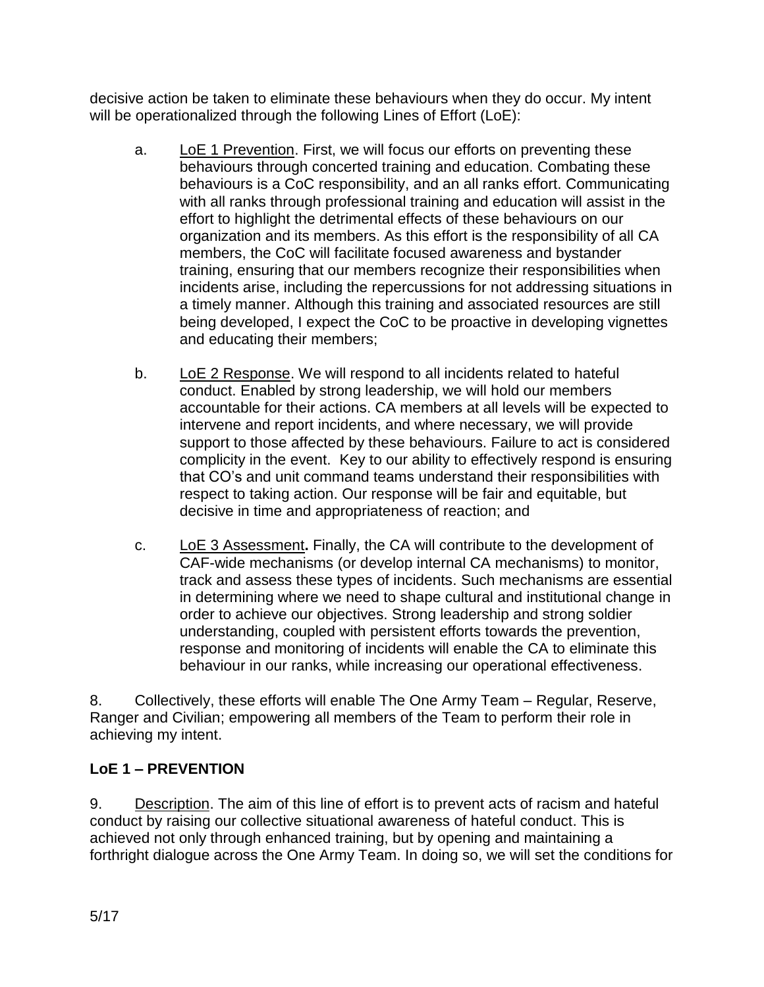decisive action be taken to eliminate these behaviours when they do occur. My intent will be operationalized through the following Lines of Effort (LoE):

- a. LoE 1 Prevention. First, we will focus our efforts on preventing these behaviours through concerted training and education. Combating these behaviours is a CoC responsibility, and an all ranks effort. Communicating with all ranks through professional training and education will assist in the effort to highlight the detrimental effects of these behaviours on our organization and its members. As this effort is the responsibility of all CA members, the CoC will facilitate focused awareness and bystander training, ensuring that our members recognize their responsibilities when incidents arise, including the repercussions for not addressing situations in a timely manner. Although this training and associated resources are still being developed, I expect the CoC to be proactive in developing vignettes and educating their members;
- b. LoE 2 Response. We will respond to all incidents related to hateful conduct. Enabled by strong leadership, we will hold our members accountable for their actions. CA members at all levels will be expected to intervene and report incidents, and where necessary, we will provide support to those affected by these behaviours. Failure to act is considered complicity in the event. Key to our ability to effectively respond is ensuring that CO's and unit command teams understand their responsibilities with respect to taking action. Our response will be fair and equitable, but decisive in time and appropriateness of reaction; and
- c. LoE 3 Assessment**.** Finally, the CA will contribute to the development of CAF-wide mechanisms (or develop internal CA mechanisms) to monitor, track and assess these types of incidents. Such mechanisms are essential in determining where we need to shape cultural and institutional change in order to achieve our objectives. Strong leadership and strong soldier understanding, coupled with persistent efforts towards the prevention, response and monitoring of incidents will enable the CA to eliminate this behaviour in our ranks, while increasing our operational effectiveness.

8. Collectively, these efforts will enable The One Army Team – Regular, Reserve, Ranger and Civilian; empowering all members of the Team to perform their role in achieving my intent.

# **LoE 1 – PREVENTION**

9. Description. The aim of this line of effort is to prevent acts of racism and hateful conduct by raising our collective situational awareness of hateful conduct. This is achieved not only through enhanced training, but by opening and maintaining a forthright dialogue across the One Army Team. In doing so, we will set the conditions for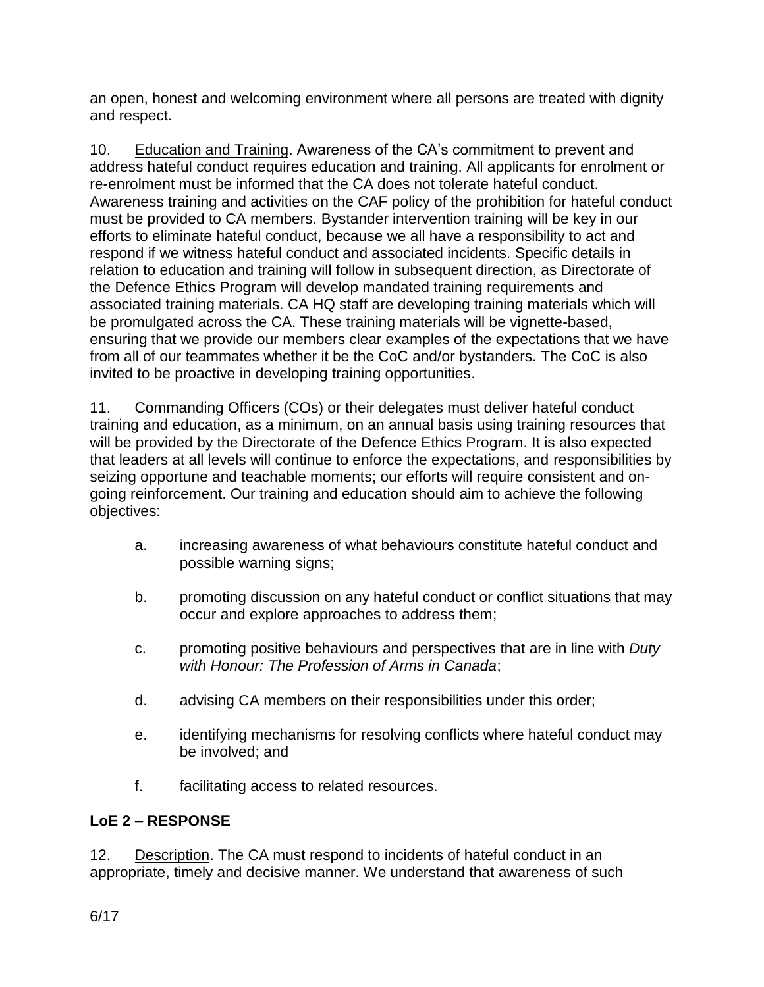an open, honest and welcoming environment where all persons are treated with dignity and respect.

10. Education and Training. Awareness of the CA's commitment to prevent and address hateful conduct requires education and training. All applicants for enrolment or re-enrolment must be informed that the CA does not tolerate hateful conduct. Awareness training and activities on the CAF policy of the prohibition for hateful conduct must be provided to CA members. Bystander intervention training will be key in our efforts to eliminate hateful conduct, because we all have a responsibility to act and respond if we witness hateful conduct and associated incidents. Specific details in relation to education and training will follow in subsequent direction, as Directorate of the Defence Ethics Program will develop mandated training requirements and associated training materials. CA HQ staff are developing training materials which will be promulgated across the CA. These training materials will be vignette-based, ensuring that we provide our members clear examples of the expectations that we have from all of our teammates whether it be the CoC and/or bystanders. The CoC is also invited to be proactive in developing training opportunities.

11. Commanding Officers (COs) or their delegates must deliver hateful conduct training and education, as a minimum, on an annual basis using training resources that will be provided by the Directorate of the Defence Ethics Program. It is also expected that leaders at all levels will continue to enforce the expectations, and responsibilities by seizing opportune and teachable moments; our efforts will require consistent and ongoing reinforcement. Our training and education should aim to achieve the following objectives:

- a. increasing awareness of what behaviours constitute hateful conduct and possible warning signs;
- b. promoting discussion on any hateful conduct or conflict situations that may occur and explore approaches to address them;
- c. promoting positive behaviours and perspectives that are in line with *Duty with Honour: The Profession of Arms in Canada*;
- d. advising CA members on their responsibilities under this order;
- e. identifying mechanisms for resolving conflicts where hateful conduct may be involved; and
- f. facilitating access to related resources.

# **LoE 2 – RESPONSE**

12. Description. The CA must respond to incidents of hateful conduct in an appropriate, timely and decisive manner. We understand that awareness of such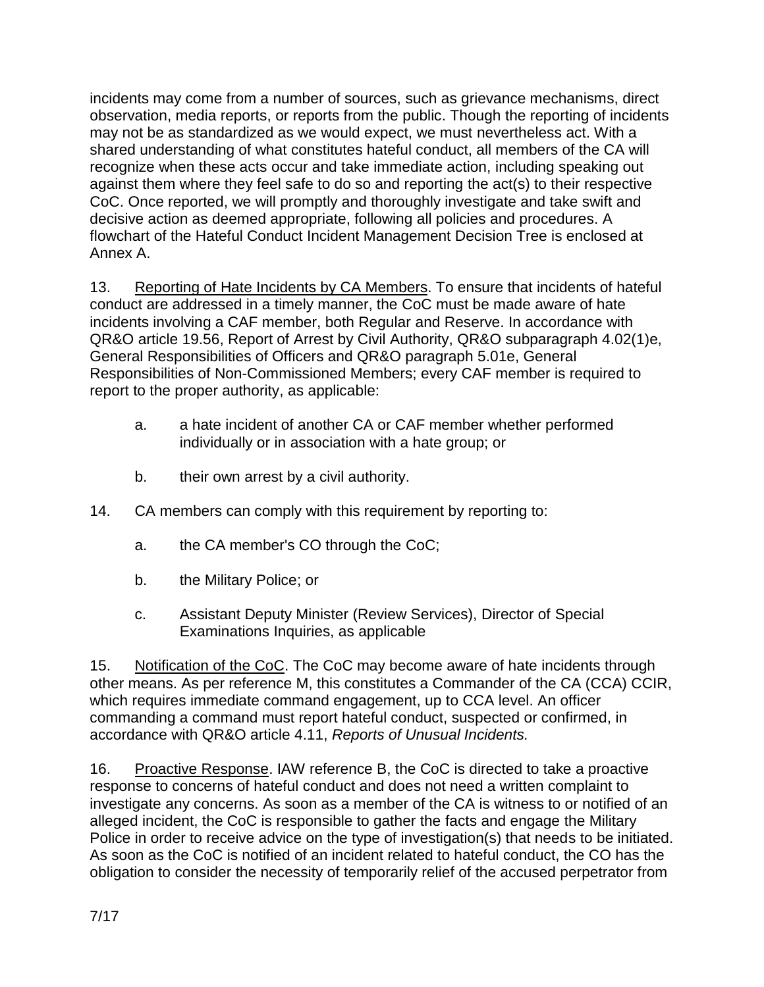incidents may come from a number of sources, such as grievance mechanisms, direct observation, media reports, or reports from the public. Though the reporting of incidents may not be as standardized as we would expect, we must nevertheless act. With a shared understanding of what constitutes hateful conduct, all members of the CA will recognize when these acts occur and take immediate action, including speaking out against them where they feel safe to do so and reporting the act(s) to their respective CoC. Once reported, we will promptly and thoroughly investigate and take swift and decisive action as deemed appropriate, following all policies and procedures. A flowchart of the Hateful Conduct Incident Management Decision Tree is enclosed at Annex A.

13. Reporting of Hate Incidents by CA Members. To ensure that incidents of hateful conduct are addressed in a timely manner, the CoC must be made aware of hate incidents involving a CAF member, both Regular and Reserve. In accordance with QR&O article 19.56, Report of Arrest by Civil Authority, QR&O subparagraph 4.02(1)e, General Responsibilities of Officers and QR&O paragraph 5.01e, General Responsibilities of Non-Commissioned Members; every CAF member is required to report to the proper authority, as applicable:

- a. a hate incident of another CA or CAF member whether performed individually or in association with a hate group; or
- b. their own arrest by a civil authority.
- 14. CA members can comply with this requirement by reporting to:
	- a. the CA member's CO through the CoC;
	- b. the Military Police; or
	- c. Assistant Deputy Minister (Review Services), Director of Special Examinations Inquiries, as applicable

15. Notification of the CoC. The CoC may become aware of hate incidents through other means. As per reference M, this constitutes a Commander of the CA (CCA) CCIR, which requires immediate command engagement, up to CCA level. An officer commanding a command must report hateful conduct, suspected or confirmed, in accordance with QR&O article 4.11, *Reports of Unusual Incidents.*

16. Proactive Response. IAW reference B, the CoC is directed to take a proactive response to concerns of hateful conduct and does not need a written complaint to investigate any concerns. As soon as a member of the CA is witness to or notified of an alleged incident, the CoC is responsible to gather the facts and engage the Military Police in order to receive advice on the type of investigation(s) that needs to be initiated. As soon as the CoC is notified of an incident related to hateful conduct, the CO has the obligation to consider the necessity of temporarily relief of the accused perpetrator from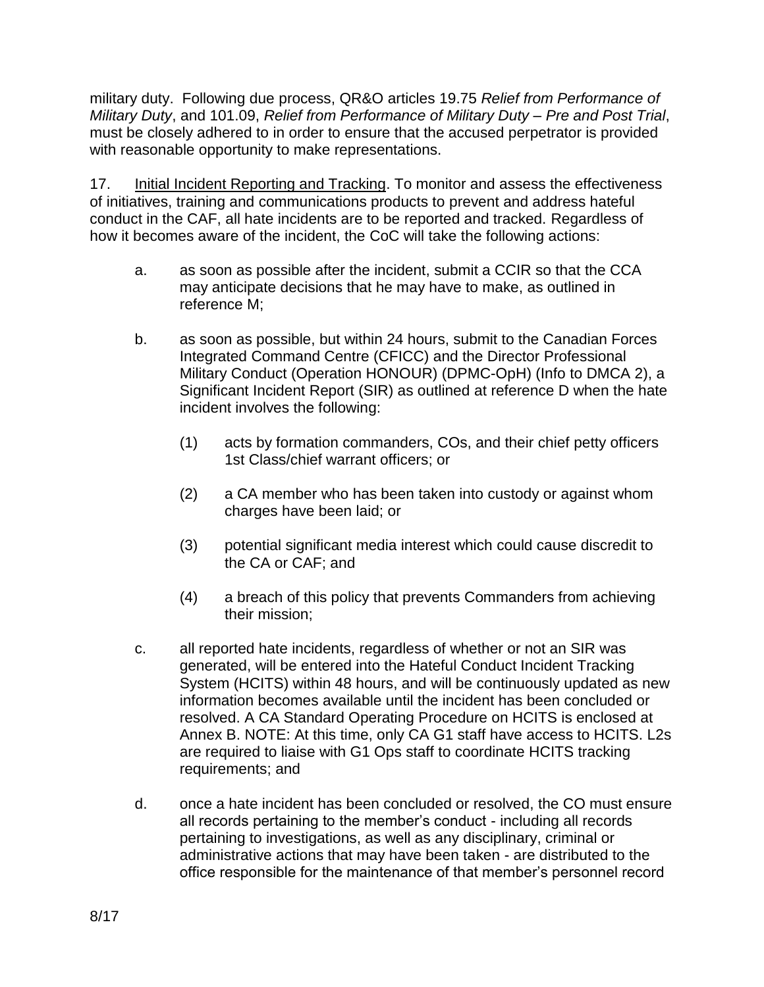military duty. Following due process, QR&O articles 19.75 *Relief from Performance of Military Duty*, and 101.09, *Relief from Performance of Military Duty – Pre and Post Trial*, must be closely adhered to in order to ensure that the accused perpetrator is provided with reasonable opportunity to make representations.

17. Initial Incident Reporting and Tracking. To monitor and assess the effectiveness of initiatives, training and communications products to prevent and address hateful conduct in the CAF, all hate incidents are to be reported and tracked. Regardless of how it becomes aware of the incident, the CoC will take the following actions:

- a. as soon as possible after the incident, submit a CCIR so that the CCA may anticipate decisions that he may have to make, as outlined in reference M;
- b. as soon as possible, but within 24 hours, submit to the Canadian Forces Integrated Command Centre (CFICC) and the Director Professional Military Conduct (Operation HONOUR) (DPMC-OpH) (Info to DMCA 2), a Significant Incident Report (SIR) as outlined at reference D when the hate incident involves the following:
	- (1) acts by formation commanders, COs, and their chief petty officers 1st Class/chief warrant officers; or
	- (2) a CA member who has been taken into custody or against whom charges have been laid; or
	- (3) potential significant media interest which could cause discredit to the CA or CAF; and
	- (4) a breach of this policy that prevents Commanders from achieving their mission;
- c. all reported hate incidents, regardless of whether or not an SIR was generated, will be entered into the Hateful Conduct Incident Tracking System (HCITS) within 48 hours, and will be continuously updated as new information becomes available until the incident has been concluded or resolved. A CA Standard Operating Procedure on HCITS is enclosed at Annex B. NOTE: At this time, only CA G1 staff have access to HCITS. L2s are required to liaise with G1 Ops staff to coordinate HCITS tracking requirements; and
- d. once a hate incident has been concluded or resolved, the CO must ensure all records pertaining to the member's conduct - including all records pertaining to investigations, as well as any disciplinary, criminal or administrative actions that may have been taken - are distributed to the office responsible for the maintenance of that member's personnel record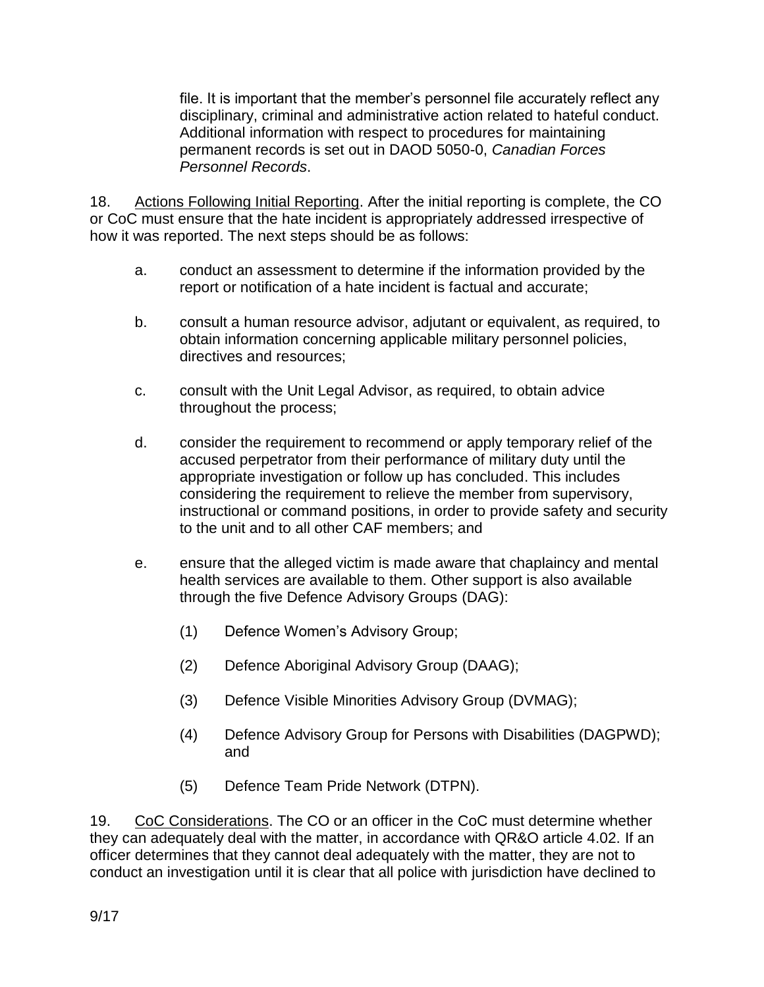file. It is important that the member's personnel file accurately reflect any disciplinary, criminal and administrative action related to hateful conduct. Additional information with respect to procedures for maintaining permanent records is set out in DAOD 5050-0, *Canadian Forces Personnel Records*.

18. Actions Following Initial Reporting. After the initial reporting is complete, the CO or CoC must ensure that the hate incident is appropriately addressed irrespective of how it was reported. The next steps should be as follows:

- a. conduct an assessment to determine if the information provided by the report or notification of a hate incident is factual and accurate;
- b. consult a human resource advisor, adjutant or equivalent, as required, to obtain information concerning applicable military personnel policies, directives and resources;
- c. consult with the Unit Legal Advisor, as required, to obtain advice throughout the process;
- d. consider the requirement to recommend or apply temporary relief of the accused perpetrator from their performance of military duty until the appropriate investigation or follow up has concluded. This includes considering the requirement to relieve the member from supervisory, instructional or command positions, in order to provide safety and security to the unit and to all other CAF members; and
- e. ensure that the alleged victim is made aware that chaplaincy and mental health services are available to them. Other support is also available through the five Defence Advisory Groups (DAG):
	- (1) Defence Women's Advisory Group;
	- (2) Defence Aboriginal Advisory Group (DAAG);
	- (3) Defence Visible Minorities Advisory Group (DVMAG);
	- (4) Defence Advisory Group for Persons with Disabilities (DAGPWD); and
	- (5) Defence Team Pride Network (DTPN).

19. CoC Considerations. The CO or an officer in the CoC must determine whether they can adequately deal with the matter, in accordance with QR&O article 4.02. If an officer determines that they cannot deal adequately with the matter, they are not to conduct an investigation until it is clear that all police with jurisdiction have declined to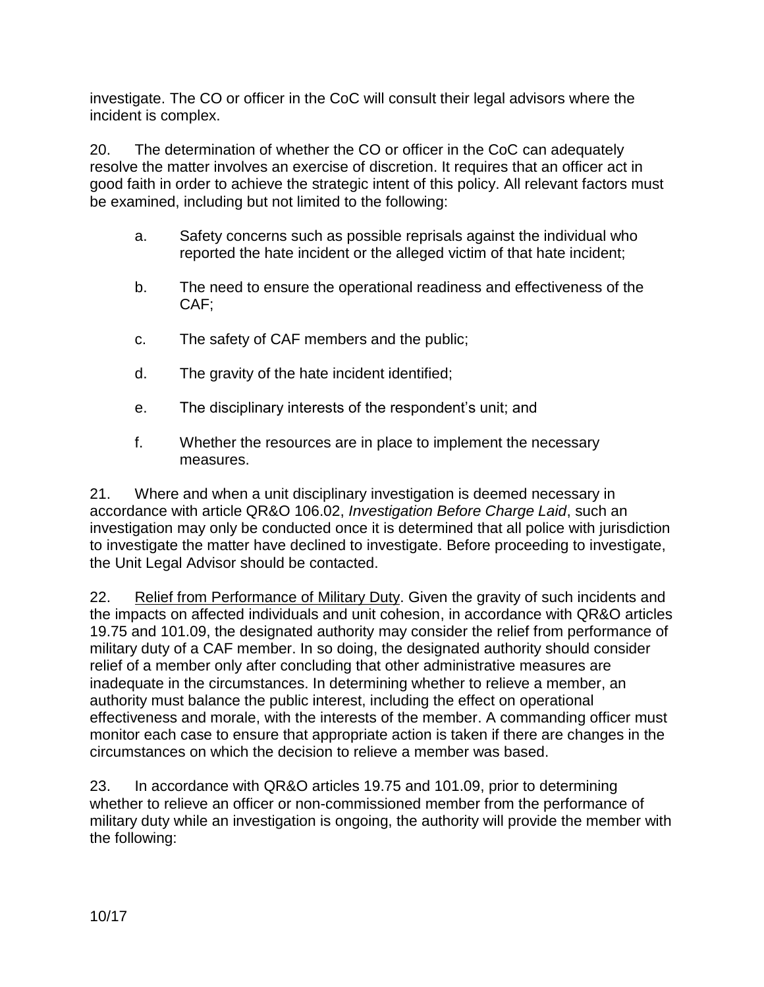investigate. The CO or officer in the CoC will consult their legal advisors where the incident is complex.

20. The determination of whether the CO or officer in the CoC can adequately resolve the matter involves an exercise of discretion. It requires that an officer act in good faith in order to achieve the strategic intent of this policy. All relevant factors must be examined, including but not limited to the following:

- a. Safety concerns such as possible reprisals against the individual who reported the hate incident or the alleged victim of that hate incident;
- b. The need to ensure the operational readiness and effectiveness of the CAF;
- c. The safety of CAF members and the public;
- d. The gravity of the hate incident identified;
- e. The disciplinary interests of the respondent's unit; and
- f. Whether the resources are in place to implement the necessary measures.

21. Where and when a unit disciplinary investigation is deemed necessary in accordance with article QR&O 106.02, *Investigation Before Charge Laid*, such an investigation may only be conducted once it is determined that all police with jurisdiction to investigate the matter have declined to investigate. Before proceeding to investigate, the Unit Legal Advisor should be contacted.

22. Relief from Performance of Military Duty. Given the gravity of such incidents and the impacts on affected individuals and unit cohesion, in accordance with QR&O articles 19.75 and 101.09, the designated authority may consider the relief from performance of military duty of a CAF member. In so doing, the designated authority should consider relief of a member only after concluding that other administrative measures are inadequate in the circumstances. In determining whether to relieve a member, an authority must balance the public interest, including the effect on operational effectiveness and morale, with the interests of the member. A commanding officer must monitor each case to ensure that appropriate action is taken if there are changes in the circumstances on which the decision to relieve a member was based.

23. In accordance with QR&O articles 19.75 and 101.09, prior to determining whether to relieve an officer or non-commissioned member from the performance of military duty while an investigation is ongoing, the authority will provide the member with the following: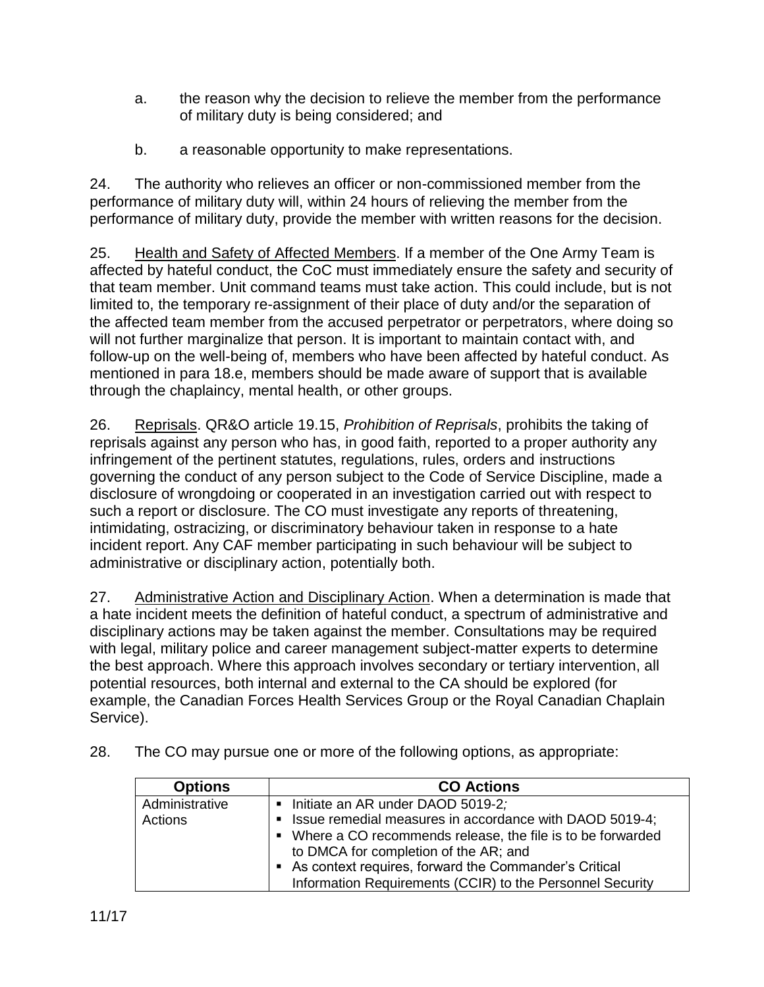- a. the reason why the decision to relieve the member from the performance of military duty is being considered; and
- b. a reasonable opportunity to make representations.

24. The authority who relieves an officer or non-commissioned member from the performance of military duty will, within 24 hours of relieving the member from the performance of military duty, provide the member with written reasons for the decision.

25. Health and Safety of Affected Members. If a member of the One Army Team is affected by hateful conduct, the CoC must immediately ensure the safety and security of that team member. Unit command teams must take action. This could include, but is not limited to, the temporary re-assignment of their place of duty and/or the separation of the affected team member from the accused perpetrator or perpetrators, where doing so will not further marginalize that person. It is important to maintain contact with, and follow-up on the well-being of, members who have been affected by hateful conduct. As mentioned in para 18.e, members should be made aware of support that is available through the chaplaincy, mental health, or other groups.

26. Reprisals. QR&O article 19.15, *Prohibition of Reprisals*, prohibits the taking of reprisals against any person who has, in good faith, reported to a proper authority any infringement of the pertinent statutes, regulations, rules, orders and instructions governing the conduct of any person subject to the Code of Service Discipline, made a disclosure of wrongdoing or cooperated in an investigation carried out with respect to such a report or disclosure. The CO must investigate any reports of threatening, intimidating, ostracizing, or discriminatory behaviour taken in response to a hate incident report. Any CAF member participating in such behaviour will be subject to administrative or disciplinary action, potentially both.

27. Administrative Action and Disciplinary Action. When a determination is made that a hate incident meets the definition of hateful conduct, a spectrum of administrative and disciplinary actions may be taken against the member. Consultations may be required with legal, military police and career management subject-matter experts to determine the best approach. Where this approach involves secondary or tertiary intervention, all potential resources, both internal and external to the CA should be explored (for example, the Canadian Forces Health Services Group or the Royal Canadian Chaplain Service).

| <b>Options</b> | <b>CO Actions</b>                                            |
|----------------|--------------------------------------------------------------|
| Administrative | • Initiate an AR under DAOD 5019-2;                          |
| Actions        | • Issue remedial measures in accordance with DAOD 5019-4;    |
|                | • Where a CO recommends release, the file is to be forwarded |
|                | to DMCA for completion of the AR; and                        |
|                | • As context requires, forward the Commander's Critical      |
|                | Information Requirements (CCIR) to the Personnel Security    |

28. The CO may pursue one or more of the following options, as appropriate: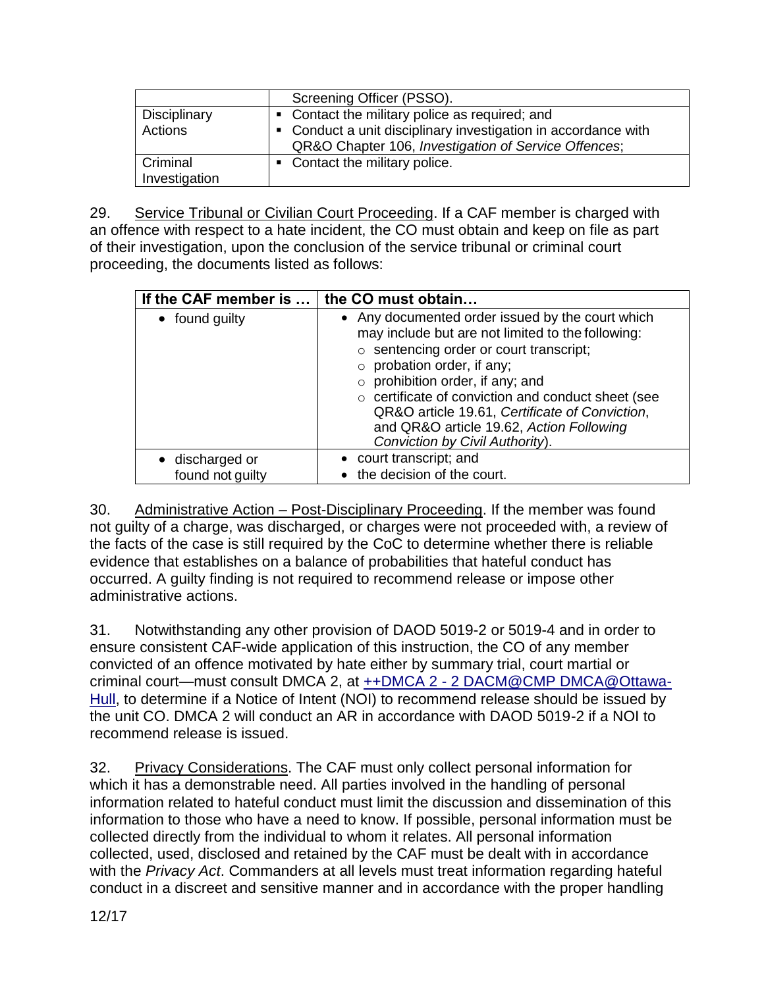|                           | Screening Officer (PSSO).                                                                                              |
|---------------------------|------------------------------------------------------------------------------------------------------------------------|
| <b>Disciplinary</b>       | • Contact the military police as required; and                                                                         |
| Actions                   | • Conduct a unit disciplinary investigation in accordance with<br>QR&O Chapter 106, Investigation of Service Offences; |
| Criminal<br>Investigation | • Contact the military police.                                                                                         |

29. Service Tribunal or Civilian Court Proceeding. If a CAF member is charged with an offence with respect to a hate incident, the CO must obtain and keep on file as part of their investigation, upon the conclusion of the service tribunal or criminal court proceeding, the documents listed as follows:

| If the CAF member is $\dots$ the CO must obtain |                                                                                                                                                                                                                                                                                                                                                                                                                             |
|-------------------------------------------------|-----------------------------------------------------------------------------------------------------------------------------------------------------------------------------------------------------------------------------------------------------------------------------------------------------------------------------------------------------------------------------------------------------------------------------|
| • found guilty                                  | • Any documented order issued by the court which<br>may include but are not limited to the following:<br>$\circ$ sentencing order or court transcript;<br>$\circ$ probation order, if any;<br>$\circ$ prohibition order, if any; and<br>o certificate of conviction and conduct sheet (see<br>QR&O article 19.61, Certificate of Conviction,<br>and QR&O article 19.62, Action Following<br>Conviction by Civil Authority). |
| • discharged or<br>found not guilty             | • court transcript; and<br>the decision of the court.                                                                                                                                                                                                                                                                                                                                                                       |

30. Administrative Action – Post-Disciplinary Proceeding. If the member was found not guilty of a charge, was discharged, or charges were not proceeded with, a review of the facts of the case is still required by the CoC to determine whether there is reliable evidence that establishes on a balance of probabilities that hateful conduct has occurred. A guilty finding is not required to recommend release or impose other administrative actions.

31. Notwithstanding any other provision of DAOD 5019-2 or 5019-4 and in order to ensure consistent CAF-wide application of this instruction, the CO of any member convicted of an offence motivated by hate either by summary trial, court martial or criminal court—must consult DMCA 2, at ++DMCA 2 - [2 DACM@CMP DMCA@Ottawa-](mailto:++DMCA%202%20-%202%20DACM@CMP%20DMCA@Ottawa-Hull)[Hull,](mailto:++DMCA%202%20-%202%20DACM@CMP%20DMCA@Ottawa-Hull) to determine if a Notice of Intent (NOI) to recommend release should be issued by the unit CO. DMCA 2 will conduct an AR in accordance with DAOD 5019-2 if a NOI to recommend release is issued.

32. Privacy Considerations. The CAF must only collect personal information for which it has a demonstrable need. All parties involved in the handling of personal information related to hateful conduct must limit the discussion and dissemination of this information to those who have a need to know. If possible, personal information must be collected directly from the individual to whom it relates. All personal information collected, used, disclosed and retained by the CAF must be dealt with in accordance with the *Privacy Act*. Commanders at all levels must treat information regarding hateful conduct in a discreet and sensitive manner and in accordance with the proper handling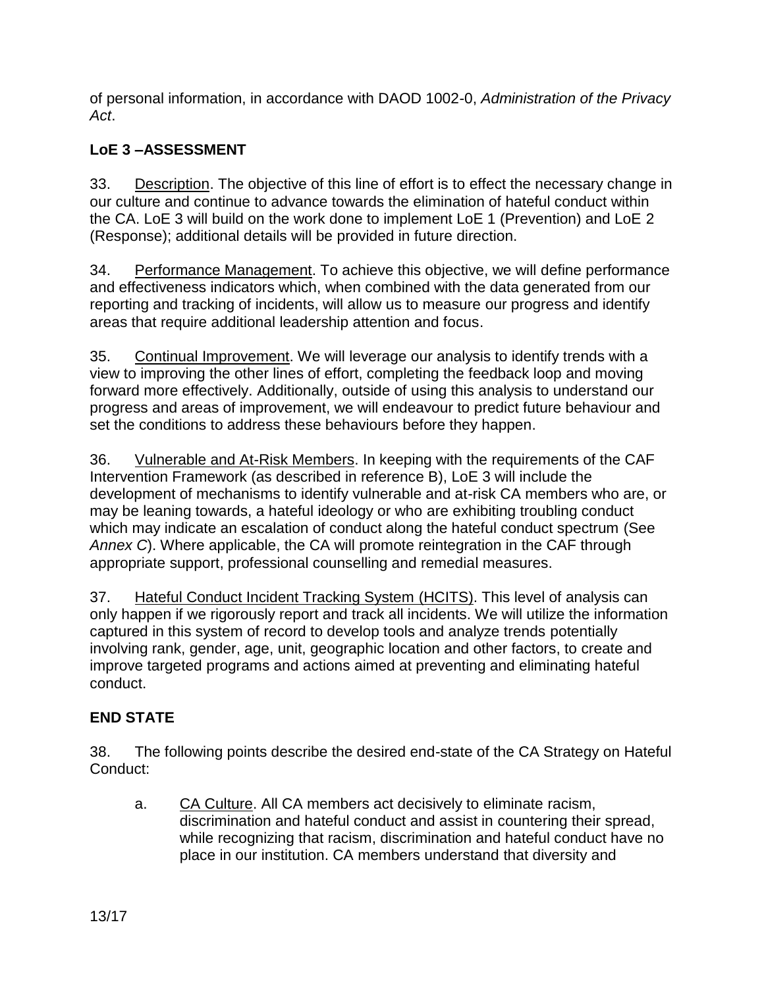of personal information, in accordance with DAOD 1002-0, *Administration of the Privacy Act*.

# **LoE 3 –ASSESSMENT**

33. Description. The objective of this line of effort is to effect the necessary change in our culture and continue to advance towards the elimination of hateful conduct within the CA. LoE 3 will build on the work done to implement LoE 1 (Prevention) and LoE 2 (Response); additional details will be provided in future direction.

34. Performance Management. To achieve this objective, we will define performance and effectiveness indicators which, when combined with the data generated from our reporting and tracking of incidents, will allow us to measure our progress and identify areas that require additional leadership attention and focus.

35. Continual Improvement. We will leverage our analysis to identify trends with a view to improving the other lines of effort, completing the feedback loop and moving forward more effectively. Additionally, outside of using this analysis to understand our progress and areas of improvement, we will endeavour to predict future behaviour and set the conditions to address these behaviours before they happen.

36. Vulnerable and At-Risk Members. In keeping with the requirements of the CAF Intervention Framework (as described in reference B), LoE 3 will include the development of mechanisms to identify vulnerable and at-risk CA members who are, or may be leaning towards, a hateful ideology or who are exhibiting troubling conduct which may indicate an escalation of conduct along the hateful conduct spectrum (See *Annex C*). Where applicable, the CA will promote reintegration in the CAF through appropriate support, professional counselling and remedial measures.

37. Hateful Conduct Incident Tracking System (HCITS). This level of analysis can only happen if we rigorously report and track all incidents. We will utilize the information captured in this system of record to develop tools and analyze trends potentially involving rank, gender, age, unit, geographic location and other factors, to create and improve targeted programs and actions aimed at preventing and eliminating hateful conduct.

# **END STATE**

38. The following points describe the desired end-state of the CA Strategy on Hateful Conduct:

a. CA Culture. All CA members act decisively to eliminate racism, discrimination and hateful conduct and assist in countering their spread, while recognizing that racism, discrimination and hateful conduct have no place in our institution. CA members understand that diversity and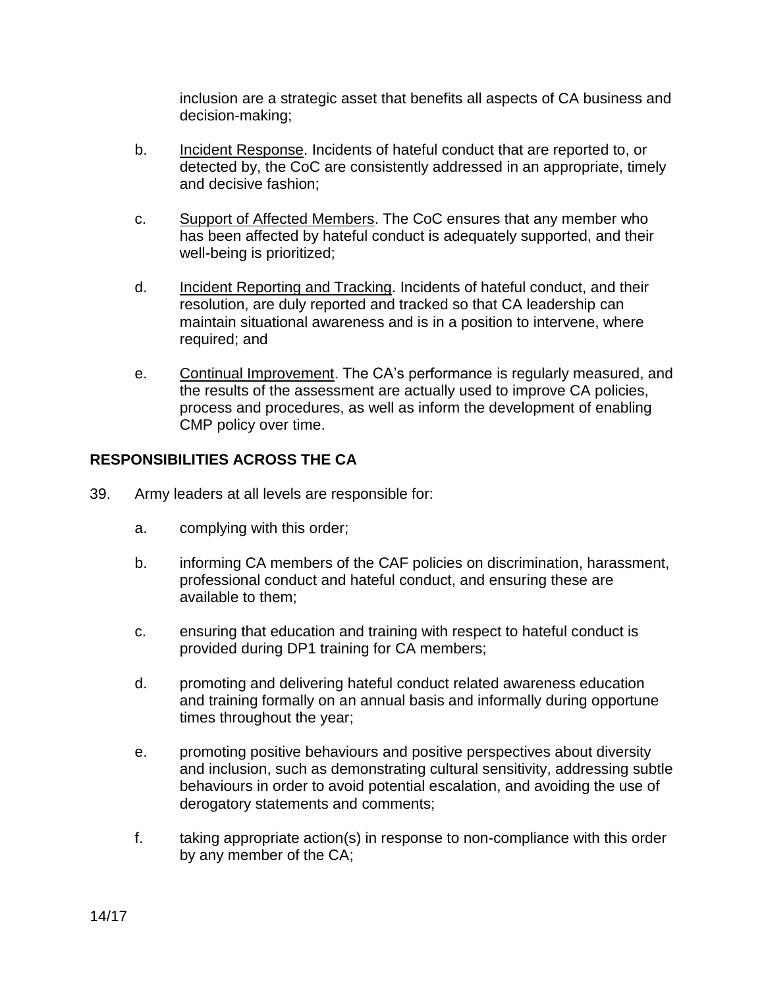inclusion are a strategic asset that benefits all aspects of CA business and decision-making;

- b. Incident Response. Incidents of hateful conduct that are reported to, or detected by, the CoC are consistently addressed in an appropriate, timely and decisive fashion;
- c. Support of Affected Members. The CoC ensures that any member who has been affected by hateful conduct is adequately supported, and their well-being is prioritized;
- d. Incident Reporting and Tracking. Incidents of hateful conduct, and their resolution, are duly reported and tracked so that CA leadership can maintain situational awareness and is in a position to intervene, where required; and
- e. Continual Improvement. The CA's performance is regularly measured, and the results of the assessment are actually used to improve CA policies, process and procedures, as well as inform the development of enabling CMP policy over time.

#### **RESPONSIBILITIES ACROSS THE CA**

- 39. Army leaders at all levels are responsible for:
	- a. complying with this order;
	- b. informing CA members of the CAF policies on discrimination, harassment, professional conduct and hateful conduct, and ensuring these are available to them;
	- c. ensuring that education and training with respect to hateful conduct is provided during DP1 training for CA members;
	- d. promoting and delivering hateful conduct related awareness education and training formally on an annual basis and informally during opportune times throughout the year;
	- e. promoting positive behaviours and positive perspectives about diversity and inclusion, such as demonstrating cultural sensitivity, addressing subtle behaviours in order to avoid potential escalation, and avoiding the use of derogatory statements and comments;
	- f. taking appropriate action(s) in response to non-compliance with this order by any member of the CA;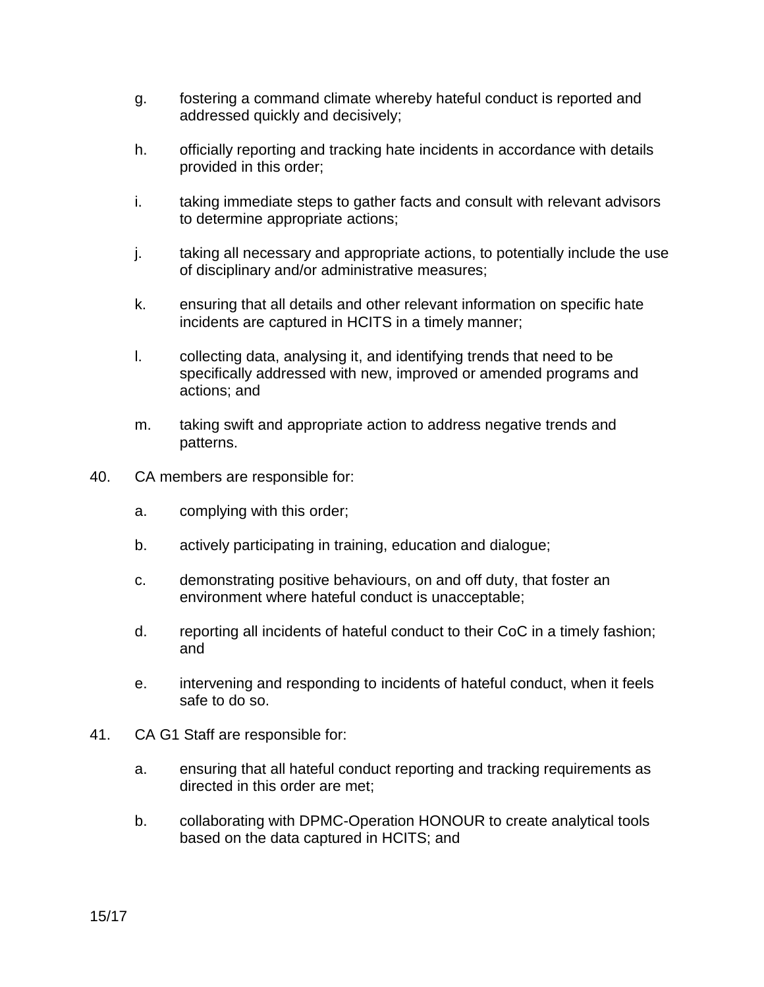- g. fostering a command climate whereby hateful conduct is reported and addressed quickly and decisively;
- h. officially reporting and tracking hate incidents in accordance with details provided in this order;
- i. taking immediate steps to gather facts and consult with relevant advisors to determine appropriate actions;
- j. taking all necessary and appropriate actions, to potentially include the use of disciplinary and/or administrative measures;
- k. ensuring that all details and other relevant information on specific hate incidents are captured in HCITS in a timely manner;
- l. collecting data, analysing it, and identifying trends that need to be specifically addressed with new, improved or amended programs and actions; and
- m. taking swift and appropriate action to address negative trends and patterns.
- 40. CA members are responsible for:
	- a. complying with this order;
	- b. actively participating in training, education and dialogue;
	- c. demonstrating positive behaviours, on and off duty, that foster an environment where hateful conduct is unacceptable;
	- d. reporting all incidents of hateful conduct to their CoC in a timely fashion; and
	- e. intervening and responding to incidents of hateful conduct, when it feels safe to do so.
- 41. CA G1 Staff are responsible for:
	- a. ensuring that all hateful conduct reporting and tracking requirements as directed in this order are met;
	- b. collaborating with DPMC-Operation HONOUR to create analytical tools based on the data captured in HCITS; and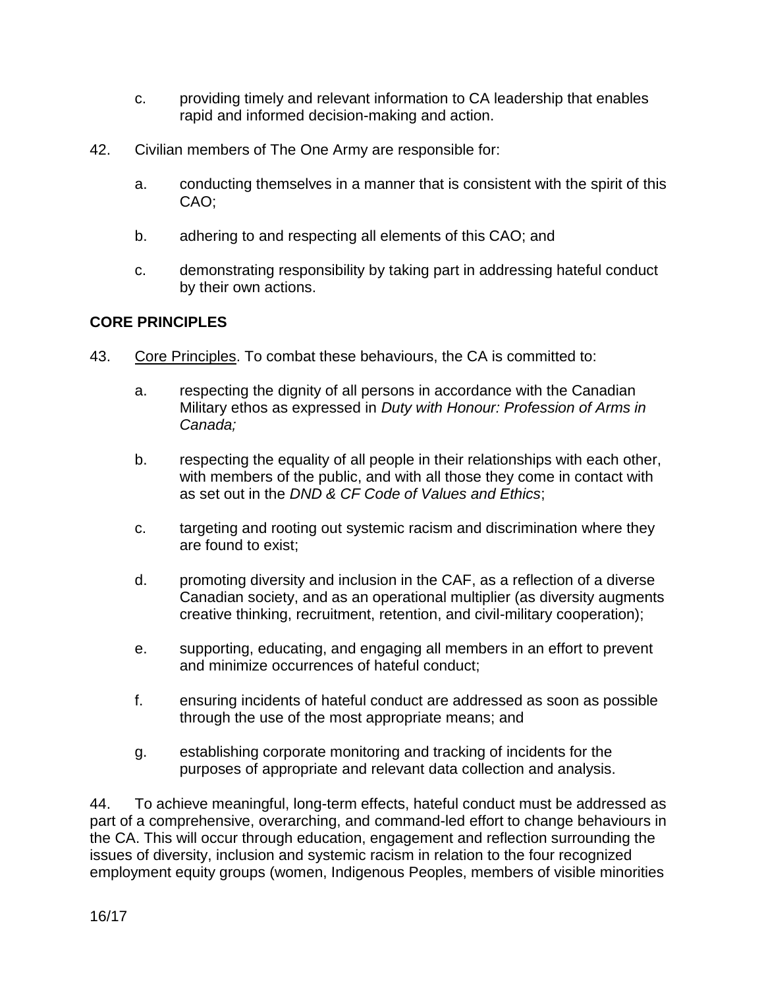- c. providing timely and relevant information to CA leadership that enables rapid and informed decision-making and action.
- 42. Civilian members of The One Army are responsible for:
	- a. conducting themselves in a manner that is consistent with the spirit of this CAO;
	- b. adhering to and respecting all elements of this CAO; and
	- c. demonstrating responsibility by taking part in addressing hateful conduct by their own actions.

## **CORE PRINCIPLES**

- 43. Core Principles. To combat these behaviours, the CA is committed to:
	- a. respecting the dignity of all persons in accordance with the Canadian Military ethos as expressed in *Duty with Honour: Profession of Arms in Canada;*
	- b. respecting the equality of all people in their relationships with each other, with members of the public, and with all those they come in contact with as set out in the *DND & CF Code of Values and Ethics*;
	- c. targeting and rooting out systemic racism and discrimination where they are found to exist;
	- d. promoting diversity and inclusion in the CAF, as a reflection of a diverse Canadian society, and as an operational multiplier (as diversity augments creative thinking, recruitment, retention, and civil-military cooperation);
	- e. supporting, educating, and engaging all members in an effort to prevent and minimize occurrences of hateful conduct;
	- f. ensuring incidents of hateful conduct are addressed as soon as possible through the use of the most appropriate means; and
	- g. establishing corporate monitoring and tracking of incidents for the purposes of appropriate and relevant data collection and analysis.

44. To achieve meaningful, long-term effects, hateful conduct must be addressed as part of a comprehensive, overarching, and command-led effort to change behaviours in the CA. This will occur through education, engagement and reflection surrounding the issues of diversity, inclusion and systemic racism in relation to the four recognized employment equity groups (women, Indigenous Peoples, members of visible minorities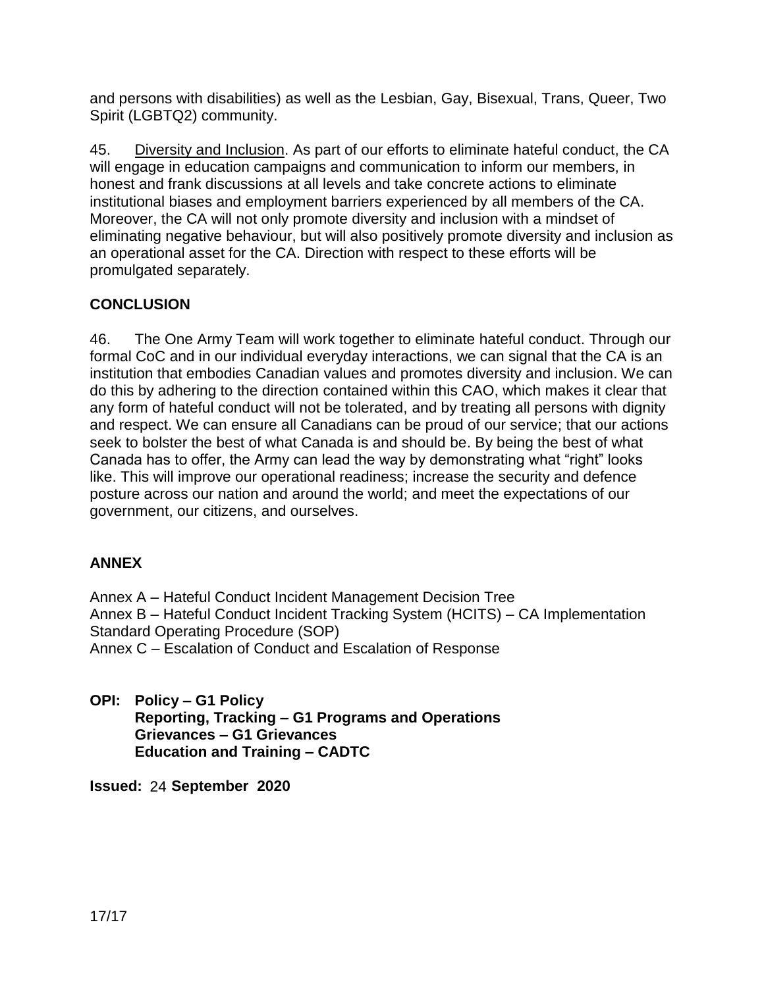and persons with disabilities) as well as the Lesbian, Gay, Bisexual, Trans, Queer, Two Spirit (LGBTQ2) community.

45. Diversity and Inclusion. As part of our efforts to eliminate hateful conduct, the CA will engage in education campaigns and communication to inform our members, in honest and frank discussions at all levels and take concrete actions to eliminate institutional biases and employment barriers experienced by all members of the CA. Moreover, the CA will not only promote diversity and inclusion with a mindset of eliminating negative behaviour, but will also positively promote diversity and inclusion as an operational asset for the CA. Direction with respect to these efforts will be promulgated separately.

# **CONCLUSION**

46. The One Army Team will work together to eliminate hateful conduct. Through our formal CoC and in our individual everyday interactions, we can signal that the CA is an institution that embodies Canadian values and promotes diversity and inclusion. We can do this by adhering to the direction contained within this CAO, which makes it clear that any form of hateful conduct will not be tolerated, and by treating all persons with dignity and respect. We can ensure all Canadians can be proud of our service; that our actions seek to bolster the best of what Canada is and should be. By being the best of what Canada has to offer, the Army can lead the way by demonstrating what "right" looks like. This will improve our operational readiness; increase the security and defence posture across our nation and around the world; and meet the expectations of our government, our citizens, and ourselves.

# **ANNEX**

Annex A – Hateful Conduct Incident Management Decision Tree Annex B – Hateful Conduct Incident Tracking System (HCITS) – CA Implementation Standard Operating Procedure (SOP) Annex C – Escalation of Conduct and Escalation of Response

**OPI: Policy – G1 Policy Reporting, Tracking – G1 Programs and Operations Grievances – G1 Grievances Education and Training – CADTC**

**Issued:** 24 **24 September 2020**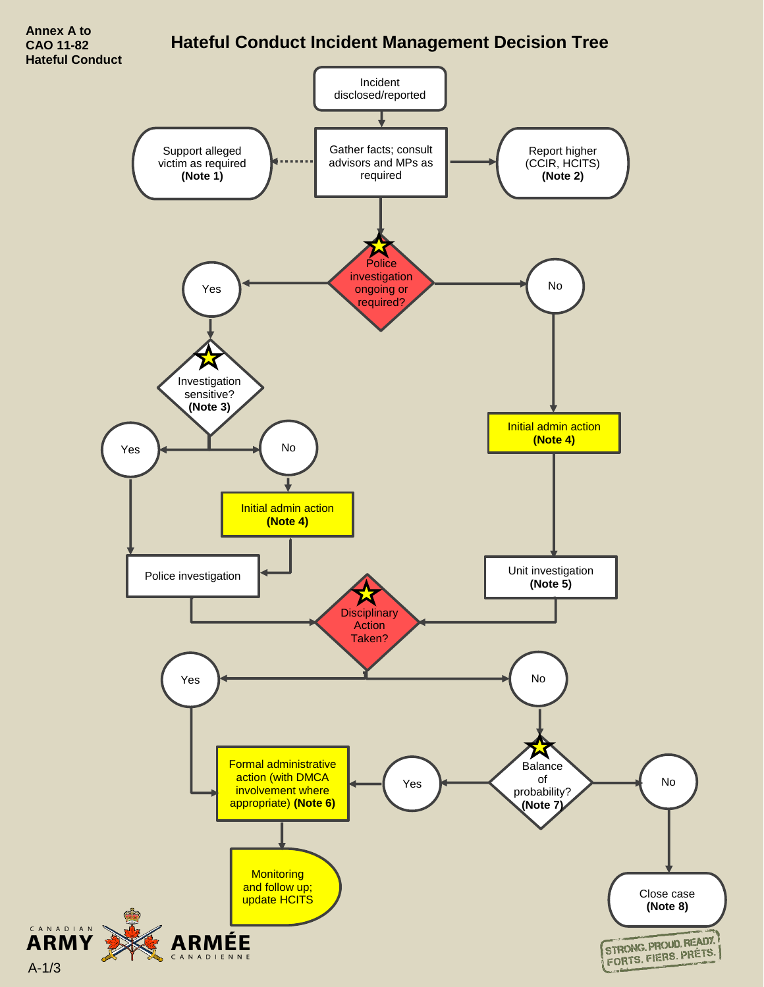# **Hateful Conduct Incident Management Decision Tree**

**Hateful Conduct** Incident disclosed/reported Support alleged Gather facts; consult Report higher victim as required advisors and MPs as (CCIR, HCITS) **(Note 1)** required **(Note 2)** Police investigation Yes No required? Investigation sensitive? **(Note 3)** Initial admin action **(Note 4)** $Yes$   $\longrightarrow$  No Initial admin action **(Note 4)** Police investigation **Provides Unit investigation (Note 5)** И **Disciplinary** Action Taken? Yes **Note: A set of the set of the set of the set of the set of the set of the set of the set of the set of the set of the set of the set of the set of the set of the set of the set of the set of the set of the set of the** й Formal administrative **Balance** action (with DMCA of Yes No involvement where probability? appropriate) **(Note 6) (Note 7) Monitoring** and follow up; Close case update HCITS **(Note 8) ARMY** STRONG PROUD READY ÉE STRONG PROUD NEADS

A-1/3

**Annex A to CAO 11-82**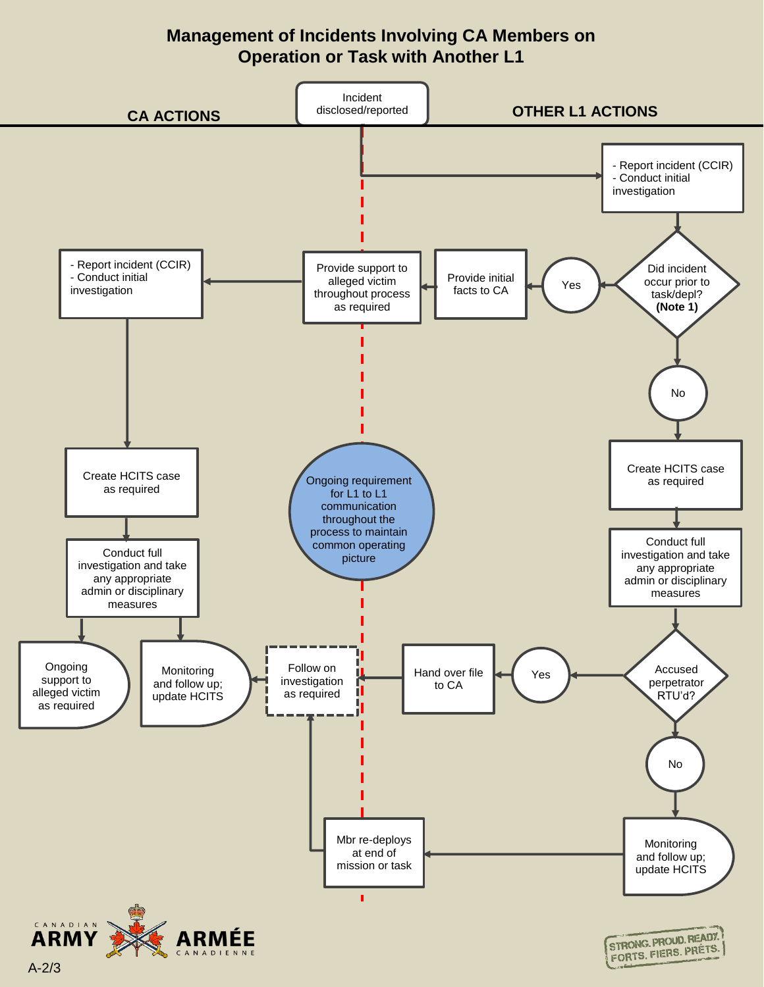# **Management of Incidents Involving CA Members on Operation or Task with Another L1**

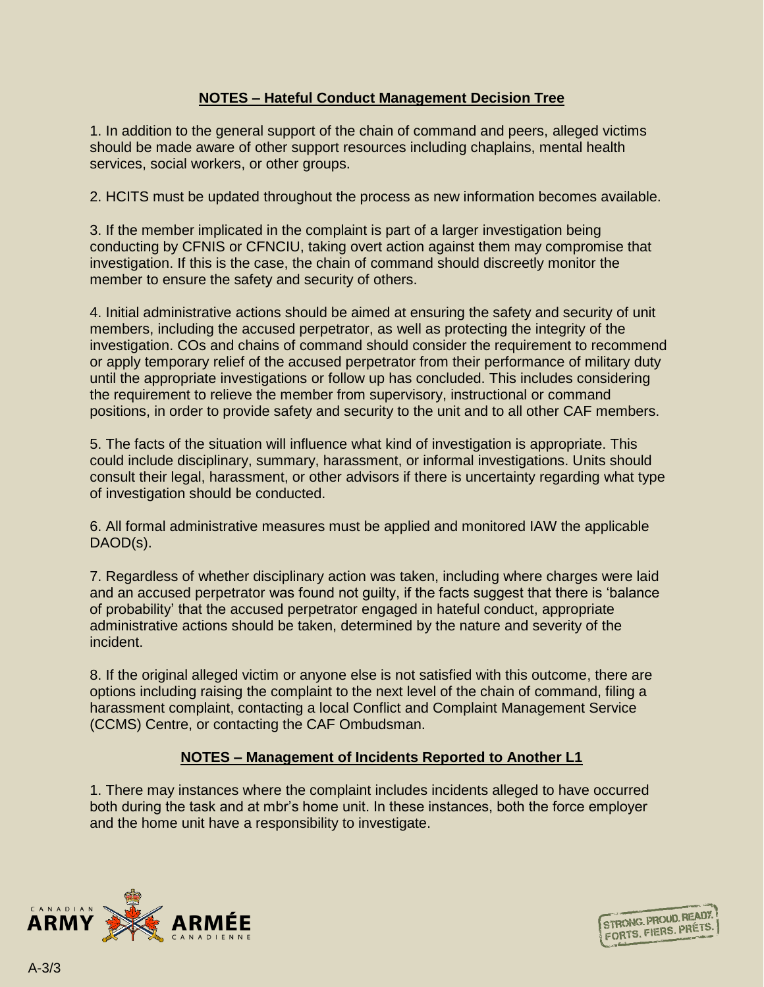#### **NOTES – Hateful Conduct Management Decision Tree**

1. In addition to the general support of the chain of command and peers, alleged victims should be made aware of other support resources including chaplains, mental health services, social workers, or other groups.

2. HCITS must be updated throughout the process as new information becomes available.

3. If the member implicated in the complaint is part of a larger investigation being conducting by CFNIS or CFNCIU, taking overt action against them may compromise that investigation. If this is the case, the chain of command should discreetly monitor the member to ensure the safety and security of others.

4. Initial administrative actions should be aimed at ensuring the safety and security of unit members, including the accused perpetrator, as well as protecting the integrity of the investigation. COs and chains of command should consider the requirement to recommend or apply temporary relief of the accused perpetrator from their performance of military duty until the appropriate investigations or follow up has concluded. This includes considering the requirement to relieve the member from supervisory, instructional or command positions, in order to provide safety and security to the unit and to all other CAF members.

5. The facts of the situation will influence what kind of investigation is appropriate. This could include disciplinary, summary, harassment, or informal investigations. Units should consult their legal, harassment, or other advisors if there is uncertainty regarding what type of investigation should be conducted.

6. All formal administrative measures must be applied and monitored IAW the applicable DAOD(s).

7. Regardless of whether disciplinary action was taken, including where charges were laid and an accused perpetrator was found not guilty, if the facts suggest that there is 'balance of probability' that the accused perpetrator engaged in hateful conduct, appropriate administrative actions should be taken, determined by the nature and severity of the incident.

8. If the original alleged victim or anyone else is not satisfied with this outcome, there are options including raising the complaint to the next level of the chain of command, filing a harassment complaint, contacting a local Conflict and Complaint Management Service (CCMS) Centre, or contacting the CAF Ombudsman.

#### **NOTES – Management of Incidents Reported to Another L1**

1. There may instances where the complaint includes incidents alleged to have occurred both during the task and at mbr's home unit. In these instances, both the force employer and the home unit have a responsibility to investigate.



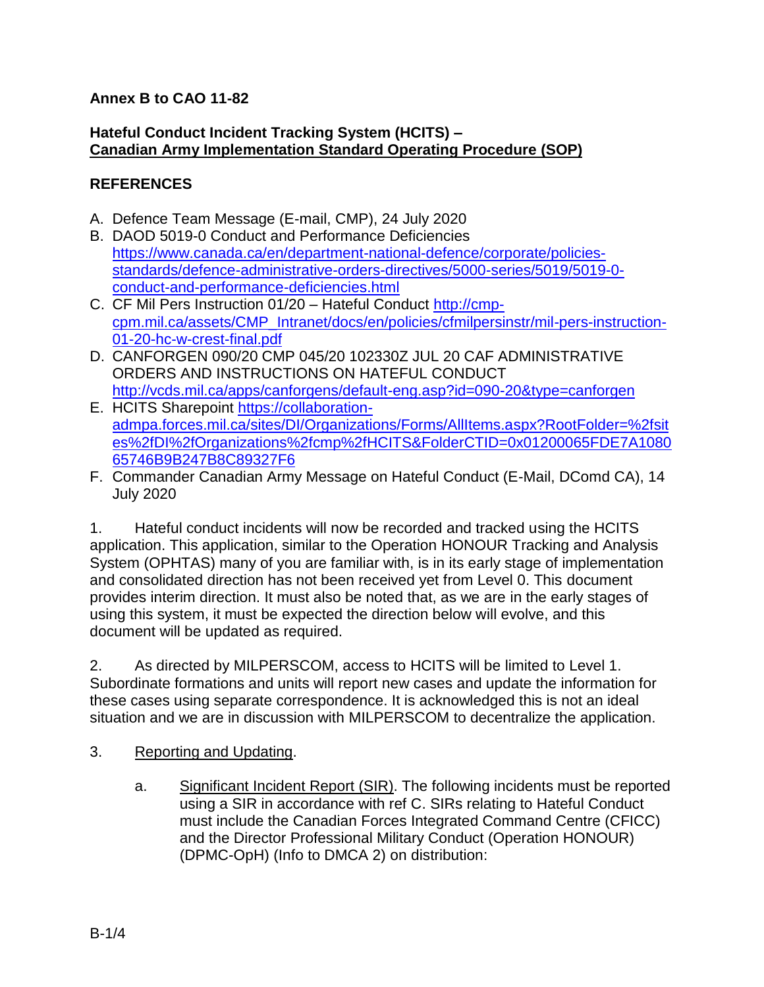#### **Annex B to CAO 11-82**

#### **Hateful Conduct Incident Tracking System (HCITS) – Canadian Army Implementation Standard Operating Procedure (SOP)**

#### **REFERENCES**

- A. Defence Team Message (E-mail, CMP), 24 July 2020
- B. DAOD 5019-0 Conduct and Performance Deficiencies [https://www.canada.ca/en/department-national-defence/corporate/policies](https://www.canada.ca/en/department-national-defence/corporate/policies-standards/defence-administrative-orders-directives/5000-series/5019/5019-0-conduct-and-performance-deficiencies.html)[standards/defence-administrative-orders-directives/5000-series/5019/5019-0](https://www.canada.ca/en/department-national-defence/corporate/policies-standards/defence-administrative-orders-directives/5000-series/5019/5019-0-conduct-and-performance-deficiencies.html) [conduct-and-performance-deficiencies.html](https://www.canada.ca/en/department-national-defence/corporate/policies-standards/defence-administrative-orders-directives/5000-series/5019/5019-0-conduct-and-performance-deficiencies.html)
- C. CF Mil Pers Instruction 01/20 Hateful Conduct [http://cmp](http://cmp-cpm.mil.ca/assets/CMP_Intranet/docs/en/policies/cfmilpersinstr/mil-pers-instruction-01-20-hc-w-crest-final.pdf)[cpm.mil.ca/assets/CMP\\_Intranet/docs/en/policies/cfmilpersinstr/mil-pers-instruction-](http://cmp-cpm.mil.ca/assets/CMP_Intranet/docs/en/policies/cfmilpersinstr/mil-pers-instruction-01-20-hc-w-crest-final.pdf)[01-20-hc-w-crest-final.pdf](http://cmp-cpm.mil.ca/assets/CMP_Intranet/docs/en/policies/cfmilpersinstr/mil-pers-instruction-01-20-hc-w-crest-final.pdf)
- D. CANFORGEN 090/20 CMP 045/20 102330Z JUL 20 CAF ADMINISTRATIVE ORDERS AND INSTRUCTIONS ON HATEFUL CONDUCT <http://vcds.mil.ca/apps/canforgens/default-eng.asp?id=090-20&type=canforgen>
- E. HCITS Sharepoint [https://collaboration](https://collaboration-admpa.forces.mil.ca/sites/DI/Organizations/Forms/AllItems.aspx?RootFolder=%2fsites%2fDI%2fOrganizations%2fcmp%2fHCITS&FolderCTID=0x01200065FDE7A108065746B9B247B8C89327F6)[admpa.forces.mil.ca/sites/DI/Organizations/Forms/AllItems.aspx?RootFolder=%2fsit](https://collaboration-admpa.forces.mil.ca/sites/DI/Organizations/Forms/AllItems.aspx?RootFolder=%2fsites%2fDI%2fOrganizations%2fcmp%2fHCITS&FolderCTID=0x01200065FDE7A108065746B9B247B8C89327F6) [es%2fDI%2fOrganizations%2fcmp%2fHCITS&FolderCTID=0x01200065FDE7A1080](https://collaboration-admpa.forces.mil.ca/sites/DI/Organizations/Forms/AllItems.aspx?RootFolder=%2fsites%2fDI%2fOrganizations%2fcmp%2fHCITS&FolderCTID=0x01200065FDE7A108065746B9B247B8C89327F6) [65746B9B247B8C89327F6](https://collaboration-admpa.forces.mil.ca/sites/DI/Organizations/Forms/AllItems.aspx?RootFolder=%2fsites%2fDI%2fOrganizations%2fcmp%2fHCITS&FolderCTID=0x01200065FDE7A108065746B9B247B8C89327F6)
- F. Commander Canadian Army Message on Hateful Conduct (E-Mail, DComd CA), 14 July 2020

1. Hateful conduct incidents will now be recorded and tracked using the HCITS application. This application, similar to the Operation HONOUR Tracking and Analysis System (OPHTAS) many of you are familiar with, is in its early stage of implementation and consolidated direction has not been received yet from Level 0. This document provides interim direction. It must also be noted that, as we are in the early stages of using this system, it must be expected the direction below will evolve, and this document will be updated as required.

2. As directed by MILPERSCOM, access to HCITS will be limited to Level 1. Subordinate formations and units will report new cases and update the information for these cases using separate correspondence. It is acknowledged this is not an ideal situation and we are in discussion with MILPERSCOM to decentralize the application.

- 3. Reporting and Updating.
	- a. Significant Incident Report (SIR). The following incidents must be reported using a SIR in accordance with ref C. SIRs relating to Hateful Conduct must include the Canadian Forces Integrated Command Centre (CFICC) and the Director Professional Military Conduct (Operation HONOUR) (DPMC-OpH) (Info to DMCA 2) on distribution: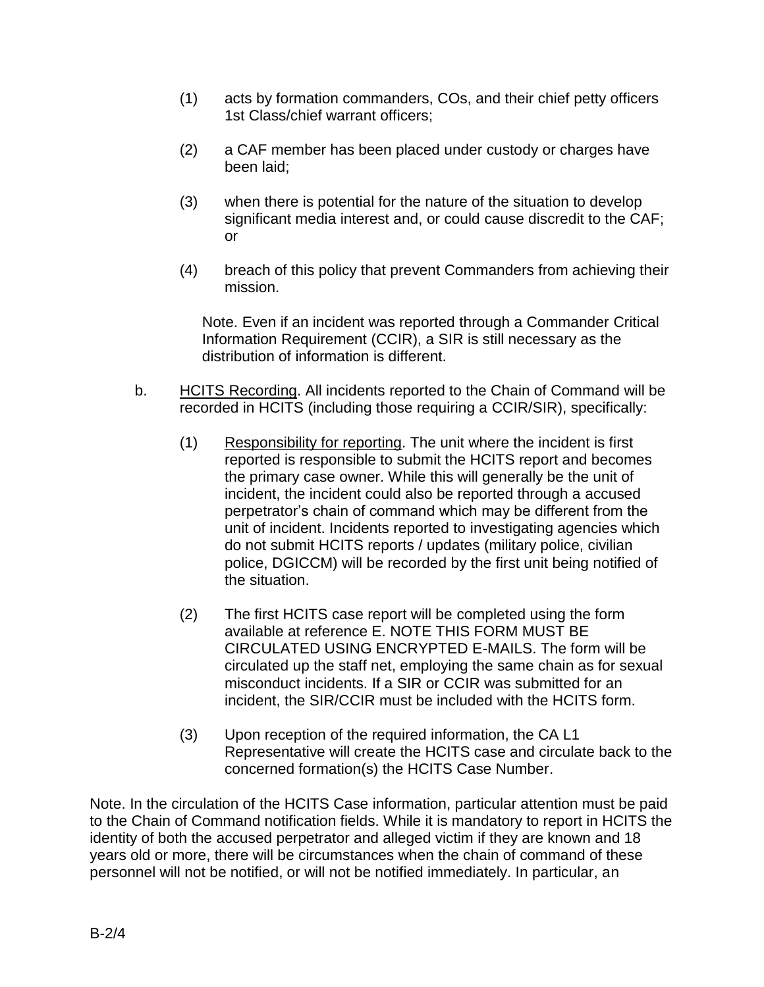- (1) acts by formation commanders, COs, and their chief petty officers 1st Class/chief warrant officers;
- (2) a CAF member has been placed under custody or charges have been laid;
- (3) when there is potential for the nature of the situation to develop significant media interest and, or could cause discredit to the CAF; or
- (4) breach of this policy that prevent Commanders from achieving their mission.

Note. Even if an incident was reported through a Commander Critical Information Requirement (CCIR), a SIR is still necessary as the distribution of information is different.

- b. HCITS Recording. All incidents reported to the Chain of Command will be recorded in HCITS (including those requiring a CCIR/SIR), specifically:
	- (1) Responsibility for reporting. The unit where the incident is first reported is responsible to submit the HCITS report and becomes the primary case owner. While this will generally be the unit of incident, the incident could also be reported through a accused perpetrator's chain of command which may be different from the unit of incident. Incidents reported to investigating agencies which do not submit HCITS reports / updates (military police, civilian police, DGICCM) will be recorded by the first unit being notified of the situation.
	- (2) The first HCITS case report will be completed using the form available at reference E. NOTE THIS FORM MUST BE CIRCULATED USING ENCRYPTED E-MAILS. The form will be circulated up the staff net, employing the same chain as for sexual misconduct incidents. If a SIR or CCIR was submitted for an incident, the SIR/CCIR must be included with the HCITS form.
	- (3) Upon reception of the required information, the CA L1 Representative will create the HCITS case and circulate back to the concerned formation(s) the HCITS Case Number.

Note. In the circulation of the HCITS Case information, particular attention must be paid to the Chain of Command notification fields. While it is mandatory to report in HCITS the identity of both the accused perpetrator and alleged victim if they are known and 18 years old or more, there will be circumstances when the chain of command of these personnel will not be notified, or will not be notified immediately. In particular, an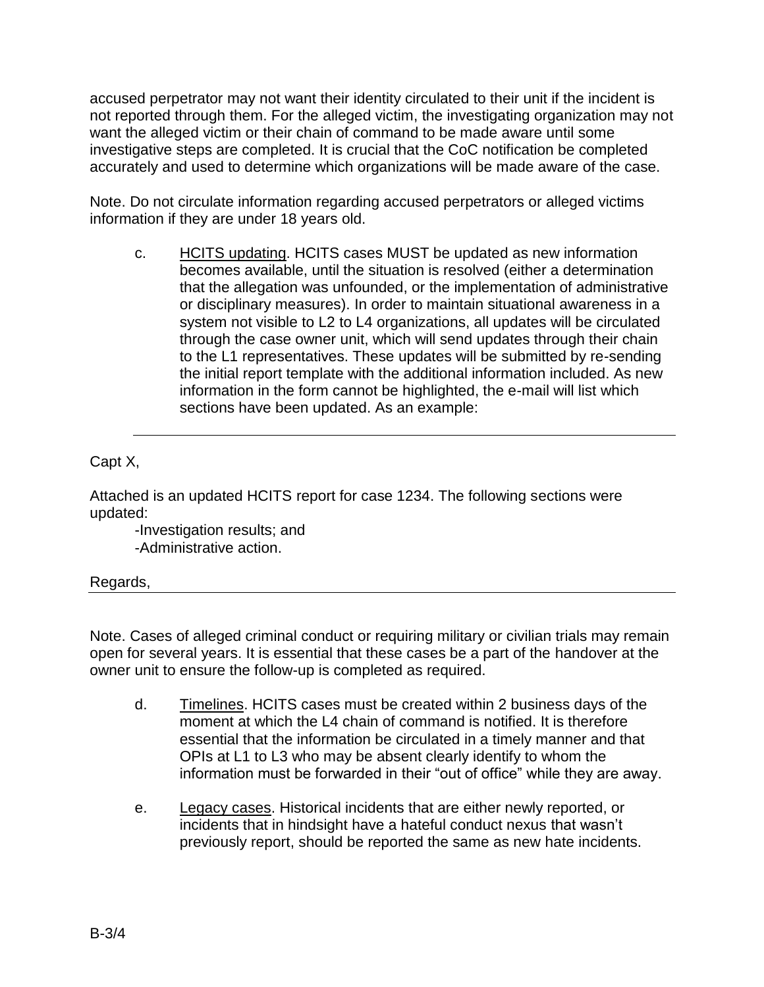accused perpetrator may not want their identity circulated to their unit if the incident is not reported through them. For the alleged victim, the investigating organization may not want the alleged victim or their chain of command to be made aware until some investigative steps are completed. It is crucial that the CoC notification be completed accurately and used to determine which organizations will be made aware of the case.

Note. Do not circulate information regarding accused perpetrators or alleged victims information if they are under 18 years old.

c. HCITS updating. HCITS cases MUST be updated as new information becomes available, until the situation is resolved (either a determination that the allegation was unfounded, or the implementation of administrative or disciplinary measures). In order to maintain situational awareness in a system not visible to L2 to L4 organizations, all updates will be circulated through the case owner unit, which will send updates through their chain to the L1 representatives. These updates will be submitted by re-sending the initial report template with the additional information included. As new information in the form cannot be highlighted, the e-mail will list which sections have been updated. As an example:

Capt X,

Attached is an updated HCITS report for case 1234. The following sections were updated:

-Investigation results; and -Administrative action.

Regards,

Note. Cases of alleged criminal conduct or requiring military or civilian trials may remain open for several years. It is essential that these cases be a part of the handover at the owner unit to ensure the follow-up is completed as required.

- d. Timelines. HCITS cases must be created within 2 business days of the moment at which the L4 chain of command is notified. It is therefore essential that the information be circulated in a timely manner and that OPIs at L1 to L3 who may be absent clearly identify to whom the information must be forwarded in their "out of office" while they are away.
- e. Legacy cases. Historical incidents that are either newly reported, or incidents that in hindsight have a hateful conduct nexus that wasn't previously report, should be reported the same as new hate incidents.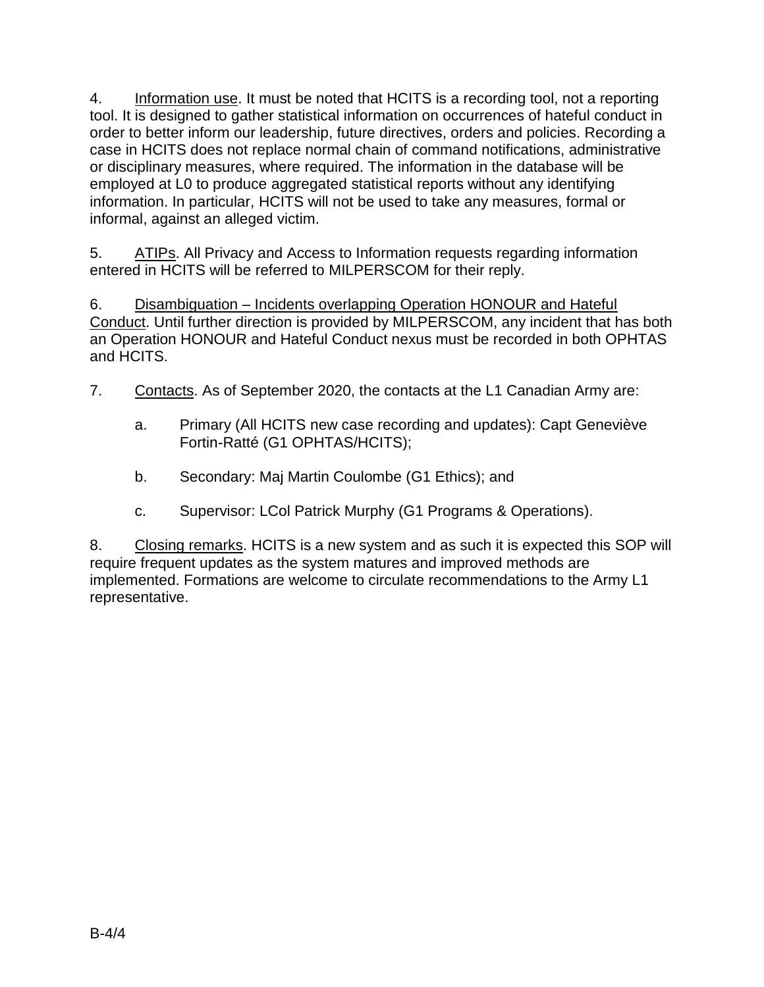4. Information use. It must be noted that HCITS is a recording tool, not a reporting tool. It is designed to gather statistical information on occurrences of hateful conduct in order to better inform our leadership, future directives, orders and policies. Recording a case in HCITS does not replace normal chain of command notifications, administrative or disciplinary measures, where required. The information in the database will be employed at L0 to produce aggregated statistical reports without any identifying information. In particular, HCITS will not be used to take any measures, formal or informal, against an alleged victim.

5. ATIPs. All Privacy and Access to Information requests regarding information entered in HCITS will be referred to MILPERSCOM for their reply.

6. Disambiguation – Incidents overlapping Operation HONOUR and Hateful Conduct. Until further direction is provided by MILPERSCOM, any incident that has both an Operation HONOUR and Hateful Conduct nexus must be recorded in both OPHTAS and HCITS.

- 7. Contacts. As of September 2020, the contacts at the L1 Canadian Army are:
	- a. Primary (All HCITS new case recording and updates): Capt Geneviève Fortin-Ratté (G1 OPHTAS/HCITS);
	- b. Secondary: Maj Martin Coulombe (G1 Ethics); and
	- c. Supervisor: LCol Patrick Murphy (G1 Programs & Operations).

8. Closing remarks. HCITS is a new system and as such it is expected this SOP will require frequent updates as the system matures and improved methods are implemented. Formations are welcome to circulate recommendations to the Army L1 representative.